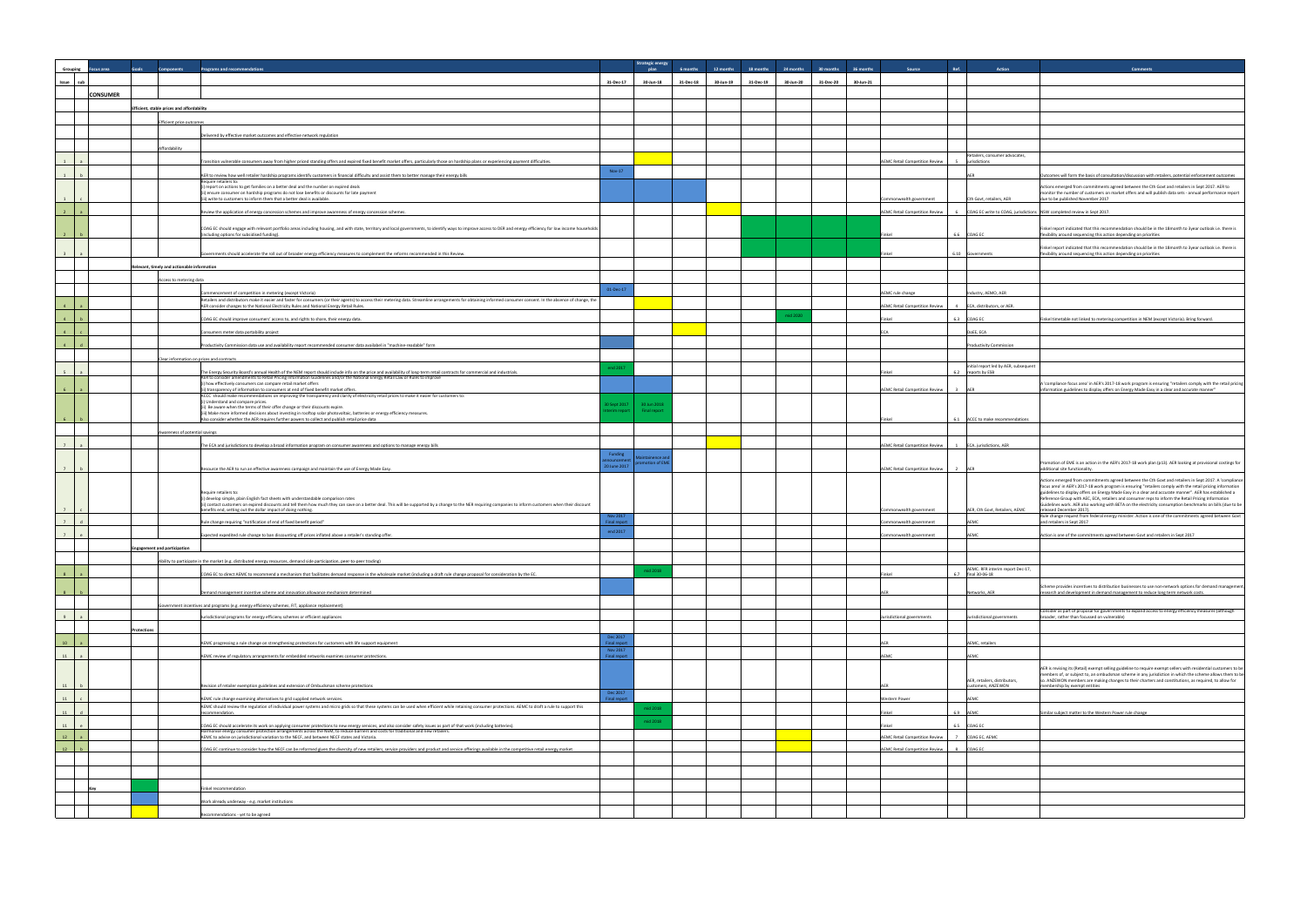| iource            | Ref.                     | Action                                                  | <b>Comments</b>                                                                                                                                                                                                                                                                                                               |
|-------------------|--------------------------|---------------------------------------------------------|-------------------------------------------------------------------------------------------------------------------------------------------------------------------------------------------------------------------------------------------------------------------------------------------------------------------------------|
|                   |                          |                                                         |                                                                                                                                                                                                                                                                                                                               |
|                   |                          |                                                         |                                                                                                                                                                                                                                                                                                                               |
|                   |                          |                                                         |                                                                                                                                                                                                                                                                                                                               |
|                   |                          |                                                         |                                                                                                                                                                                                                                                                                                                               |
|                   |                          |                                                         |                                                                                                                                                                                                                                                                                                                               |
|                   |                          |                                                         |                                                                                                                                                                                                                                                                                                                               |
|                   |                          |                                                         |                                                                                                                                                                                                                                                                                                                               |
| ompetition Review | 5                        | Retailers, consumer advocates,<br>jurisdictions         |                                                                                                                                                                                                                                                                                                                               |
|                   |                          | AER                                                     | Outcomes will form the basis of consultation/discussion with retailers, potential enforcement outcomes                                                                                                                                                                                                                        |
|                   |                          |                                                         | Actions emerged from commitments agreed between the Cth Govt and retailers in Sept 2017. AER to                                                                                                                                                                                                                               |
| h government      |                          | Cth Govt, retailers, AER                                | monitor the number of customers on market offers and will publish data sets - annual performance report<br>due to be published November 2017                                                                                                                                                                                  |
| ompetition Review | 6                        | COAG EC write to COAG, jurisdictions                    | NSW completed review in Sept 2017.                                                                                                                                                                                                                                                                                            |
|                   |                          |                                                         |                                                                                                                                                                                                                                                                                                                               |
|                   | 6.6                      | COAG EC                                                 | Finkel report indicated that this recommendation should be in the 18month to 3year outlook i.e. there is<br>flexibility around sequencing this action depending on priorities                                                                                                                                                 |
|                   |                          |                                                         | Finkel report indicated that this recommendation should be in the 18month to 3year outlook i.e. there is                                                                                                                                                                                                                      |
|                   | 6.10                     | Governments                                             | flexibility around sequencing this action depending on priorities                                                                                                                                                                                                                                                             |
|                   |                          |                                                         |                                                                                                                                                                                                                                                                                                                               |
|                   |                          |                                                         |                                                                                                                                                                                                                                                                                                                               |
| nge               |                          | Industry, AEMO, AER                                     |                                                                                                                                                                                                                                                                                                                               |
| ompetition Review | 4                        | ECA, distributors, or AER.                              |                                                                                                                                                                                                                                                                                                                               |
|                   | 6.3                      | COAG EC                                                 | Finkel timetable not linked to metering competition in NEM (except Victoria). Bring forward.                                                                                                                                                                                                                                  |
|                   |                          | DoEE, ECA                                               |                                                                                                                                                                                                                                                                                                                               |
|                   |                          | <b>Productivity Commission</b>                          |                                                                                                                                                                                                                                                                                                                               |
|                   |                          |                                                         |                                                                                                                                                                                                                                                                                                                               |
|                   | 6.2                      | initial report led by AER, subsequent<br>reports by ESB |                                                                                                                                                                                                                                                                                                                               |
|                   |                          |                                                         | A 'compliance focus area' in AER's 2017-18 work program is ensuring "retailers comply with the retail pricing                                                                                                                                                                                                                 |
| ompetition Review | 3                        | AER                                                     | information guidelines to display offers on Energy Made Easy in a clear and accurate manner'                                                                                                                                                                                                                                  |
|                   |                          |                                                         |                                                                                                                                                                                                                                                                                                                               |
|                   | 6.1                      | ACCC to make recommendations                            |                                                                                                                                                                                                                                                                                                                               |
|                   |                          |                                                         |                                                                                                                                                                                                                                                                                                                               |
| ompetition Review | $\mathbf{1}$             | ECA, jurisdictions, AER                                 |                                                                                                                                                                                                                                                                                                                               |
|                   |                          |                                                         |                                                                                                                                                                                                                                                                                                                               |
| ompetition Review | $\overline{a}$           | AER                                                     | Promotion of EME is an action in the AER's 2017-18 work plan (p13). AER looking at provisional costings for<br>additional site functionality.                                                                                                                                                                                 |
|                   |                          |                                                         | Actions emerged from commitments agreed between the Cth Govt and retailers in Sept 2017. A 'compliance                                                                                                                                                                                                                        |
|                   |                          |                                                         | focus area' in AER's 2017-18 work program is ensuring "retailers comply with the retail pricing information<br>guidelines to display offers on Energy Made Easy in a clear and accurate manner". AER has established a<br>Reference Group with AEC, ECA, retailers and consumer reps to inform the Retail Pricing Information |
| h government      |                          | AER, Cth Govt, Retailers, AEMC                          | Guidelines work. AER also working with BETA on the electricity consumption benchmarks on bills (due to be<br>released December 2017).                                                                                                                                                                                         |
| h government      |                          | AEMC                                                    | Rule change request from federal energy minister. Action is one of the commitments agreed between Govt<br>and retailers in Sept 2017                                                                                                                                                                                          |
| h government      |                          | AEMC                                                    | Action is one of the commitments agreed between Govt and retailers in Sept 2017                                                                                                                                                                                                                                               |
|                   |                          |                                                         |                                                                                                                                                                                                                                                                                                                               |
|                   |                          |                                                         |                                                                                                                                                                                                                                                                                                                               |
|                   |                          | AEMC. RFR interim report Dec-17,                        |                                                                                                                                                                                                                                                                                                                               |
|                   | 6.7                      | final 30-06-18                                          |                                                                                                                                                                                                                                                                                                                               |
|                   |                          | Networks, AER                                           | Scheme provides incentives to distribution businesses to use non-network options for demand management,<br>research and development in demand management to reduce long term network costs                                                                                                                                    |
|                   |                          |                                                         |                                                                                                                                                                                                                                                                                                                               |
| overnments        |                          | Jurisdictional governments                              | Consider as part of proposal for governments to expand access to energy efficiency measures (although<br>broader, rather than focussed on vulnerable)                                                                                                                                                                         |
|                   |                          |                                                         |                                                                                                                                                                                                                                                                                                                               |
|                   |                          | AEMC, retailers                                         |                                                                                                                                                                                                                                                                                                                               |
|                   |                          | AEMC                                                    |                                                                                                                                                                                                                                                                                                                               |
|                   |                          |                                                         | AER is revising its (Retail) exempt selling guideline to require exempt sellers with residential customers to be                                                                                                                                                                                                              |
|                   |                          | AER, retailers, distributors,                           | members of, or subject to, an ombudsman scheme in any jurisdiction in which the scheme allows them to be<br>so. ANZEWON members are making changes to their charters and constitutions, as required, to allow for                                                                                                             |
|                   |                          | customers, ANZEWON                                      | membership by exempt entities                                                                                                                                                                                                                                                                                                 |
|                   |                          | AEMC                                                    |                                                                                                                                                                                                                                                                                                                               |
|                   | 6.9                      | AEMC                                                    | Similar subject matter to the Western Power rule change                                                                                                                                                                                                                                                                       |
|                   | 6.5                      | COAG EC                                                 |                                                                                                                                                                                                                                                                                                                               |
| ompetition Review | $\overline{\phantom{a}}$ | COAG EC, AEMC                                           |                                                                                                                                                                                                                                                                                                                               |
| ompetition Review | 8                        | COAG EC                                                 |                                                                                                                                                                                                                                                                                                                               |
|                   |                          |                                                         |                                                                                                                                                                                                                                                                                                                               |
|                   |                          |                                                         |                                                                                                                                                                                                                                                                                                                               |
|                   |                          |                                                         |                                                                                                                                                                                                                                                                                                                               |
|                   |                          |                                                         |                                                                                                                                                                                                                                                                                                                               |
|                   |                          |                                                         |                                                                                                                                                                                                                                                                                                                               |

| Grouping       | <b>Goals</b><br>ocus area | <b>Components</b><br>Programs and recommendations                                                                                                                                                                                                                                                            |                                 | <b>Strategic energy</b><br>plan | 12 months<br>6 months  | 18 months | 24 months | 30 months | 36 months | Ref.<br>Source                                          | Action                                                      | Comment:                                                                                                                 |
|----------------|---------------------------|--------------------------------------------------------------------------------------------------------------------------------------------------------------------------------------------------------------------------------------------------------------------------------------------------------------|---------------------------------|---------------------------------|------------------------|-----------|-----------|-----------|-----------|---------------------------------------------------------|-------------------------------------------------------------|--------------------------------------------------------------------------------------------------------------------------|
| Issue sub      |                           |                                                                                                                                                                                                                                                                                                              | 31-Dec-17                       | 30-Jun-18                       | 31-Dec-18<br>30-Jun-19 | 31-Dec-19 | 30-Jun-20 | 31-Dec-20 | 30-Jun-21 |                                                         |                                                             |                                                                                                                          |
|                | <b>CONSUMER</b>           |                                                                                                                                                                                                                                                                                                              |                                 |                                 |                        |           |           |           |           |                                                         |                                                             |                                                                                                                          |
|                |                           |                                                                                                                                                                                                                                                                                                              |                                 |                                 |                        |           |           |           |           |                                                         |                                                             |                                                                                                                          |
|                |                           | Efficient, stable prices and affordability                                                                                                                                                                                                                                                                   |                                 |                                 |                        |           |           |           |           |                                                         |                                                             |                                                                                                                          |
|                |                           | fficient price outcomes                                                                                                                                                                                                                                                                                      |                                 |                                 |                        |           |           |           |           |                                                         |                                                             |                                                                                                                          |
|                |                           | elivered by effective market outcomes and effective network regulation                                                                                                                                                                                                                                       |                                 |                                 |                        |           |           |           |           |                                                         |                                                             |                                                                                                                          |
|                |                           | Affordability                                                                                                                                                                                                                                                                                                |                                 |                                 |                        |           |           |           |           |                                                         | Retailers, consumer advocates,                              |                                                                                                                          |
| 1              |                           | Transition vulnerable consumers away from higher priced standing offers and expired fixed benefit market offers, particularly those on hardship plans or experiencing payment difficulties.                                                                                                                  |                                 |                                 |                        |           |           |           |           | <b>AEMC Retail Competition Review</b><br>$\sim$         | jurisdictions                                               |                                                                                                                          |
|                |                           | AER to review how well retailer hardship programs identify customers in financial difficulty and assist them to better manage their energy bills<br>Require retailers to:                                                                                                                                    | Nov-17                          |                                 |                        |           |           |           |           |                                                         |                                                             | itcomes will form the basis of consultation/discussion wit                                                               |
|                |                           | (i) report on actions to get families on a better deal and the number on expired deals<br>(ii) ensure consumer on hardship programs do not lose benefits or discounts for late payment                                                                                                                       |                                 |                                 |                        |           |           |           |           |                                                         |                                                             | Actions emerged from commitments agreed between the C<br>nonitor the number of customers on market offers and wil        |
|                |                           | (iii) write to customers to inform them that a better deal is available.                                                                                                                                                                                                                                     |                                 |                                 |                        |           |           |           |           | Commonwealth government                                 | Cth Govt, retailers, AER                                    | due to be published November 2017                                                                                        |
|                |                           | Review the application of energy concession schemes and improve awareness of energy concession schemes.                                                                                                                                                                                                      |                                 |                                 |                        |           |           |           |           | <b>AEMC Retail Competition Review</b><br>6              |                                                             | COAG EC write to COAG, jurisdictions NSW completed review in Sept 2017.                                                  |
|                |                           | COAG EC should engage with relevant portfolio areas including housing, and with state, territory and local governments, to identify ways to improve access to DER and energy efficiency for low income households                                                                                            |                                 |                                 |                        |           |           |           |           |                                                         |                                                             | Finkel report indicated that this recommendation should be                                                               |
|                |                           | ncluding options for subsidised funding).                                                                                                                                                                                                                                                                    |                                 |                                 |                        |           |           |           |           | Finkel<br>6.6                                           | COAG EC                                                     | lexibility around sequencing this action depending on prior                                                              |
|                |                           | Governments should accelerate the roll out of broader energy efficiency measures to complement the reforms recommended in this Review.                                                                                                                                                                       |                                 |                                 |                        |           |           |           |           | Finkel                                                  | 6.10 Governments                                            | inkel report indicated that this recommendation should be<br>lexibility around sequencing this action depending on prior |
|                |                           | Relevant, timely and actionable information                                                                                                                                                                                                                                                                  |                                 |                                 |                        |           |           |           |           |                                                         |                                                             |                                                                                                                          |
|                |                           |                                                                                                                                                                                                                                                                                                              |                                 |                                 |                        |           |           |           |           |                                                         |                                                             |                                                                                                                          |
|                |                           | Access to metering data                                                                                                                                                                                                                                                                                      | 01-Dec-17                       |                                 |                        |           |           |           |           |                                                         |                                                             |                                                                                                                          |
|                |                           | ommencement of competition in metering (except Victoria)<br>Retailers and distributors make it easier and faster for consumers (or their agents) to access their metering data. Streamline arrangements for obtaining informed consumer consent. In the absence of change, the                               |                                 |                                 |                        |           |           |           |           | AEMC rule change                                        | Industry, AEMO, AER                                         |                                                                                                                          |
| $\overline{a}$ |                           | AER consider changes to the National Electricity Rules and National Energy Retail Rules.                                                                                                                                                                                                                     |                                 |                                 |                        |           | mid 2020  |           |           | <b>AEMC Retail Competition Review</b><br>4              | ECA, distributors, or AER.                                  |                                                                                                                          |
| $\overline{a}$ |                           | COAG EC should improve consumers' access to, and rights to share, their energy data.                                                                                                                                                                                                                         |                                 |                                 |                        |           |           |           |           | Finkel                                                  | 6.3 COAG EC                                                 | Finkel timetable not linked to metering competition in NEM                                                               |
|                |                           | Consumers meter data portability project                                                                                                                                                                                                                                                                     |                                 |                                 |                        |           |           |           |           | ECA                                                     | DoEE, ECA                                                   |                                                                                                                          |
| $\overline{a}$ |                           | Productivity Commission data use and availability report recommended consumer data availabel in "machine-readable" form                                                                                                                                                                                      |                                 |                                 |                        |           |           |           |           |                                                         | <b>Productivity Commission</b>                              |                                                                                                                          |
|                |                           | Clear information on prices and contracts                                                                                                                                                                                                                                                                    |                                 |                                 |                        |           |           |           |           |                                                         |                                                             |                                                                                                                          |
|                |                           | The Energy Security Board's annual Health of the NEM report should include info on the price and availability of long-term retail contracts for commercial and industrials.                                                                                                                                  | end 2017                        |                                 |                        |           |           |           |           | Finkel                                                  | initial report led by AER, subsequent<br>6.2 reports by ESB |                                                                                                                          |
|                |                           | AER to consider amendments to Retail Pricing Information Guidelines and/or the National Energy Retail Law or Rules to improve<br>(i) how effectively consumers can compare retail market offers                                                                                                              |                                 |                                 |                        |           |           |           |           |                                                         |                                                             | l'compliance focus area' in AER's 2017-18 work program is                                                                |
|                |                           | ii) transparency of information to consumers at end of fixed benefit market offers.<br>ACCC should make recommendations on improving the transparency and clarity of electricity retail prices to make it easier for customers to:<br>(i) Understand and compare prices.                                     |                                 |                                 |                        |           |           |           |           | <b>AEMC Retail Competition Review</b><br>$\overline{3}$ |                                                             | nformation guidelines to display offers on Energy Made Ea                                                                |
|                |                           | (ii) Be aware when the terms of their offer change or their discounts expire.                                                                                                                                                                                                                                | 30 Sept 2017<br>erim renort     | 30 Jun 2018<br>Final report     |                        |           |           |           |           |                                                         |                                                             |                                                                                                                          |
|                |                           | (iii) Make more informed decisions about investing in rooftop solar photovoltaic, batteries or energy efficiency measures.<br>Also consider whether the AER requires further powers to collect and publish retail price data                                                                                 |                                 |                                 |                        |           |           |           |           | 6.1                                                     | ACCC to make recommendations                                |                                                                                                                          |
|                |                           | wareness of potential savings                                                                                                                                                                                                                                                                                |                                 |                                 |                        |           |           |           |           |                                                         |                                                             |                                                                                                                          |
|                |                           | The ECA and jurisdictions to develop a broad information program on consumer awareness and options to manage energy bills                                                                                                                                                                                    |                                 |                                 |                        |           |           |           |           | <b>AEMC Retail Competition Review</b><br>1              | ECA, jurisdictions, AER                                     |                                                                                                                          |
|                |                           |                                                                                                                                                                                                                                                                                                              | Funding<br>ounceme              | laintainence an                 |                        |           |           |           |           |                                                         |                                                             |                                                                                                                          |
|                |                           | Resource the AER to run an effective awareness campaign and maintain the use of Energy Made Easy.                                                                                                                                                                                                            | 20 June 2017                    | omotion of EME                  |                        |           |           |           |           | <b>AEMC Retail Competition Review</b>                   |                                                             | romotion of EME is an action in the AER's 2017-18 work pl<br>additional site functionality.                              |
|                |                           |                                                                                                                                                                                                                                                                                                              |                                 |                                 |                        |           |           |           |           |                                                         |                                                             | Actions emerged from commitments agreed between the C<br>focus area' in AER's 2017-18 work program is ensuring "reta     |
|                |                           | Require retailers to:<br>(i) develop simple, plain English fact sheets with understandable comparison rates                                                                                                                                                                                                  |                                 |                                 |                        |           |           |           |           |                                                         |                                                             | uidelines to display offers on Energy Made Easy in a clear<br>Reference Group with AEC, ECA, retailers and consumer rep  |
| 7              |                           | (ii) contact customers on expired discounts and tell them how much they can save on a better deal. This will be supported by a change to the NER requiring companies to inform customers when their discount<br>benefits end, setting out the dollar impact of doing nothing.                                |                                 |                                 |                        |           |           |           |           | ommonwealth government                                  | AER, Cth Govt, Retailers, AEMC                              | uidelines work. AER also working with BETA on the electri<br>released December 2017).                                    |
| 7              |                           | Rule change requiring "notification of end of fixed benefit period"                                                                                                                                                                                                                                          | Nov 2017<br><b>Final report</b> |                                 |                        |           |           |           |           | ommonwealth government                                  | AFMC                                                        | Rule change request from federal energy minister. Action is<br>and retailers in Sept 2017                                |
|                |                           | Expected expedited rule change to ban discounting off prices inflated above a retailer's standing offer.                                                                                                                                                                                                     | end 2017                        |                                 |                        |           |           |           |           | Commonwealth government                                 | AEMC                                                        | Action is one of the commitments agreed between Govt an                                                                  |
|                |                           | <b>Engagement and participation</b>                                                                                                                                                                                                                                                                          |                                 |                                 |                        |           |           |           |           |                                                         |                                                             |                                                                                                                          |
|                |                           |                                                                                                                                                                                                                                                                                                              |                                 |                                 |                        |           |           |           |           |                                                         |                                                             |                                                                                                                          |
|                |                           | Ability to participate in the market (e.g. distributed energy resources, demand side participation, peer-to-peer trading)                                                                                                                                                                                    |                                 | mid 2018                        |                        |           |           |           |           |                                                         | AEMC. RFR interim report Dec-17,                            |                                                                                                                          |
|                |                           | COAG EC to direct AEMC to recommend a mechanism that facilitates demand response in the wholesale market (including a draft rule change proposal for consideration by the EC.                                                                                                                                |                                 |                                 |                        |           |           |           |           | Finkel                                                  | 6.7 final 30-06-18                                          | Scheme provides incentives to distribution businesses to us                                                              |
|                |                           | Demand management incentive scheme and innovation allowance mechanism determined                                                                                                                                                                                                                             |                                 |                                 |                        |           |           |           |           | AFR                                                     | Networks, AER                                               | research and development in demand management to redu                                                                    |
|                |                           | overnment incentives and programs (e.g. energy efficiency schemes, FIT, appliance replacement)                                                                                                                                                                                                               |                                 |                                 |                        |           |           |           |           |                                                         |                                                             | Consider as part of proposal for governments to expand ac                                                                |
| 9              |                           | urisdictional programs for energy efficieny schemes or efficient appliances                                                                                                                                                                                                                                  |                                 |                                 |                        |           |           |           |           | Jurisdictional governments                              | urisdictional governments                                   | roader, rather than focussed on vulnerable)                                                                              |
|                | atectio                   |                                                                                                                                                                                                                                                                                                              |                                 |                                 |                        |           |           |           |           |                                                         |                                                             |                                                                                                                          |
| 10             |                           | AEMC progressing a rule change on strengthening protections for customers with life support equipment                                                                                                                                                                                                        | Dec 2017<br>inal repo           |                                 |                        |           |           |           |           | AFF                                                     | <b>AEMC</b> , retailers                                     |                                                                                                                          |
| 11             |                           | AEMC review of regulatory arrangements for embedded networks examines consumer protections.                                                                                                                                                                                                                  | Nov 2017<br>inal report         |                                 |                        |           |           |           |           | AEMC                                                    | <b>EMC</b>                                                  |                                                                                                                          |
|                |                           |                                                                                                                                                                                                                                                                                                              |                                 |                                 |                        |           |           |           |           |                                                         |                                                             | AER is revising its (Retail) exempt selling guideline to requir                                                          |
|                |                           |                                                                                                                                                                                                                                                                                                              |                                 |                                 |                        |           |           |           |           |                                                         | AER, retailers, distributors,                               | members of, or subject to, an ombudsman scheme in any ju<br>so. ANZEWON members are making changes to their charte       |
| 11             |                           | Revision of retailer exemption guidelines and extension of Ombudsman scheme protections                                                                                                                                                                                                                      | Dec 2017                        |                                 |                        |           |           |           |           | AER                                                     | customers, ANZEWON                                          | nembership by exempt entities                                                                                            |
| 11             |                           | AEMC rule change examining alternatives to grid supplied network services.<br>AEMC should review the regulation of individual power systems and micro grids so that these systems can be used when efficient while retaining consumer protections. AEMC to draft a rule to support this                      | <b>Final report</b>             | mid 2018                        |                        |           |           |           |           | Western Power                                           | <b>EMC</b>                                                  |                                                                                                                          |
| 11             |                           | ecommendation.                                                                                                                                                                                                                                                                                               |                                 |                                 |                        |           |           |           |           | 6.9<br>Finkel                                           | <b>AEMC</b>                                                 | imilar subject matter to the Western Power rule change                                                                   |
| 11             |                           | COAG EC should accelerate its work on applying consumer protections to new energy services, and also consider safety issues as part of that work (including batteries).<br>Harmonise energy consumer protection arrangements across the NEM, to reduce barriers and costs for traditional and new retailers. |                                 | mid 2018                        |                        |           |           |           |           | 6.5<br>Finkel                                           | <b>COAG EC</b>                                              |                                                                                                                          |
| 12             |                           | AEMC to advise on jurisdictional variation to the NECF, and between NECF states and Victoria.                                                                                                                                                                                                                |                                 |                                 |                        |           |           |           |           | <b>AEMC Retail Competition Review</b><br>7              | COAG EC, AEMC                                               |                                                                                                                          |
| 12             |                           | COAG EC continue to consider how the NECF can be reformed given the diversity of new retailers, service providers and product and service offerings available in the competitive retail energy market.                                                                                                       |                                 |                                 |                        |           |           |           |           | 8<br><b>AEMC Retail Competition Review</b>              | COAG EC                                                     |                                                                                                                          |
|                |                           |                                                                                                                                                                                                                                                                                                              |                                 |                                 |                        |           |           |           |           |                                                         |                                                             |                                                                                                                          |
|                |                           |                                                                                                                                                                                                                                                                                                              |                                 |                                 |                        |           |           |           |           |                                                         |                                                             |                                                                                                                          |
|                |                           | Finkel recommendation                                                                                                                                                                                                                                                                                        |                                 |                                 |                        |           |           |           |           |                                                         |                                                             |                                                                                                                          |
|                |                           | Work already underway - e.g. market institutions                                                                                                                                                                                                                                                             |                                 |                                 |                        |           |           |           |           |                                                         |                                                             |                                                                                                                          |
|                |                           | commendations - yet to be agreed                                                                                                                                                                                                                                                                             |                                 |                                 |                        |           |           |           |           |                                                         |                                                             |                                                                                                                          |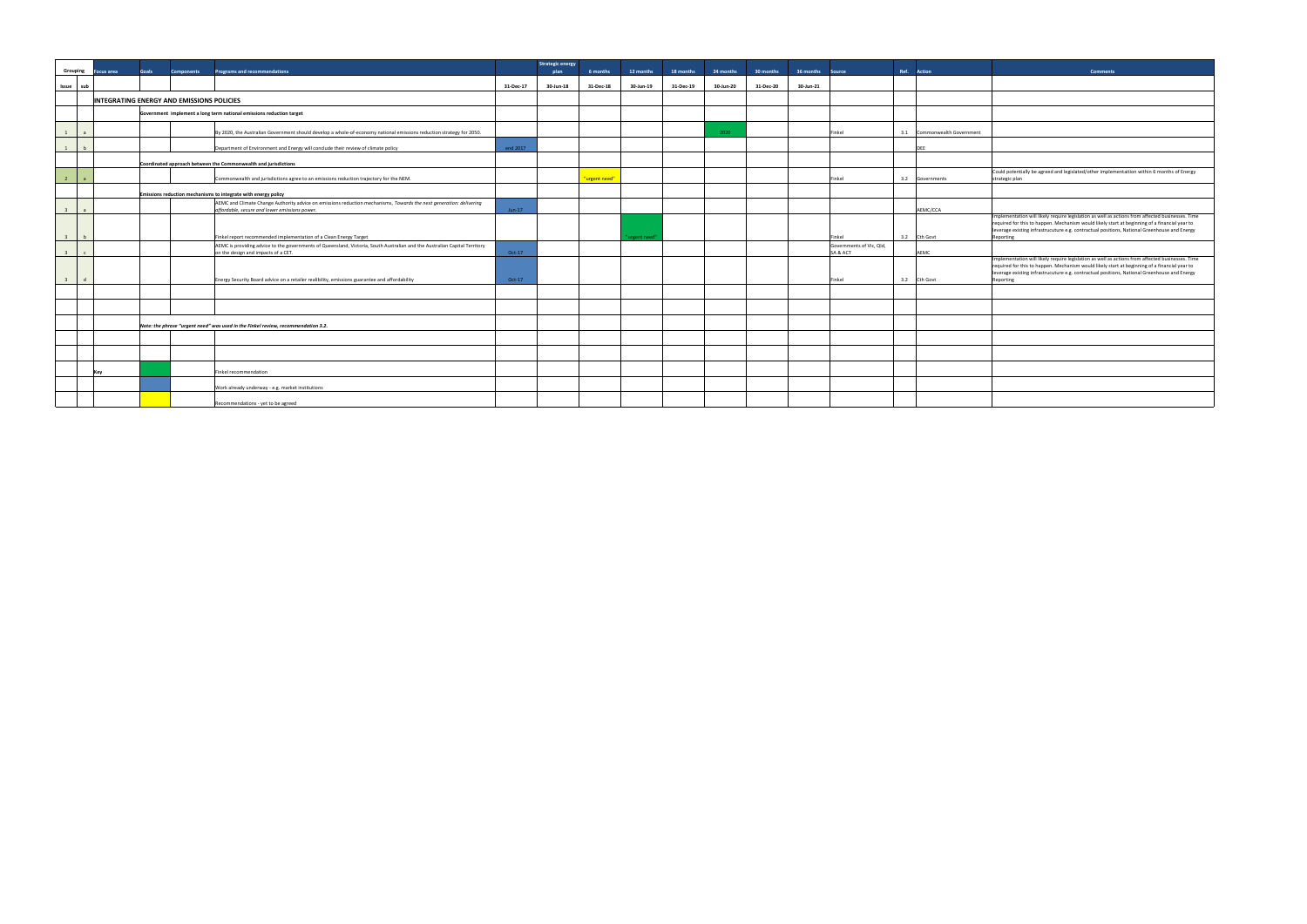| Grouping                | <b>Focus area</b> | Goals | <b>Components</b>                                | <b>Programs and recommendations</b>                                                                                                                                                             |           | <b>Strategic energy</b><br>plan | 6 months      | 12 months   | 18 months | 24 months | 30 months | 36 months | Source                             | Ref. Action                 | <b>Comments</b>                                                                                                                                                                     |
|-------------------------|-------------------|-------|--------------------------------------------------|-------------------------------------------------------------------------------------------------------------------------------------------------------------------------------------------------|-----------|---------------------------------|---------------|-------------|-----------|-----------|-----------|-----------|------------------------------------|-----------------------------|-------------------------------------------------------------------------------------------------------------------------------------------------------------------------------------|
| Issue                   | sub               |       |                                                  |                                                                                                                                                                                                 | 31-Dec-17 | 30-Jun-18                       | 31-Dec-18     | 30-Jun-19   | 31-Dec-19 | 30-Jun-20 | 31-Dec-20 | 30-Jun-21 |                                    |                             |                                                                                                                                                                                     |
|                         |                   |       | <b>INTEGRATING ENERGY AND EMISSIONS POLICIES</b> |                                                                                                                                                                                                 |           |                                 |               |             |           |           |           |           |                                    |                             |                                                                                                                                                                                     |
|                         |                   |       |                                                  | Government implement a long term national emissions reduction target                                                                                                                            |           |                                 |               |             |           |           |           |           |                                    |                             |                                                                                                                                                                                     |
| 1                       |                   |       |                                                  | By 2020, the Australian Government should develop a whole-of-economy national emissions reduction strategy for 2050.                                                                            |           |                                 |               |             |           | 2020      |           |           | Finkel                             | 3.1 Commonwealth Government |                                                                                                                                                                                     |
|                         |                   |       |                                                  | Department of Environment and Energy will conclude their review of climate policy                                                                                                               | end 2017  |                                 |               |             |           |           |           |           |                                    | DEE                         |                                                                                                                                                                                     |
|                         |                   |       |                                                  | Coordinated approach between the Commonwealth and jurisdictions                                                                                                                                 |           |                                 |               |             |           |           |           |           |                                    |                             |                                                                                                                                                                                     |
| $\overline{2}$          |                   |       |                                                  | Commonwealth and jurisdictions agree to an emissions reduction trajectory for the NEM.                                                                                                          |           |                                 | "urgent need" |             |           |           |           |           | Finkel                             | 3.2 Governments             | Could potentially be agreed and legislated/other impler<br>strategic plan                                                                                                           |
|                         |                   |       |                                                  | Emissions reduction mechanisms to integrate with energy policy                                                                                                                                  |           |                                 |               |             |           |           |           |           |                                    |                             |                                                                                                                                                                                     |
| $\overline{\mathbf{3}}$ |                   |       |                                                  | AEMC and Climate Change Authority advice on emissions reduction mechanisms, Towards the next generation: delivering<br>affordable, secure and lower emissions power.                            | $Jun-17$  |                                 |               |             |           |           |           |           |                                    | AEMC/CCA                    |                                                                                                                                                                                     |
|                         |                   |       |                                                  |                                                                                                                                                                                                 |           |                                 |               |             |           |           |           |           |                                    |                             | Implementation will likely require legislation as well as<br>required for this to happen. Mechanism would likely sta<br>leverage existing infrastrucuture e.g. contractual position |
| $\overline{3}$          |                   |       |                                                  | Finkel report recommended implementation of a Clean Energy Target<br>AEMC is providing advice to the governments of Queensland, Victoria, South Australian and the Australian Capital Territory |           |                                 |               | urgent need |           |           |           |           | Finkel<br>Governments of Vic, Qld, | 3.2 Cth Govt                | Reporting                                                                                                                                                                           |
| $\overline{3}$          |                   |       |                                                  | on the design and impacts of a CET.                                                                                                                                                             | Oct-17    |                                 |               |             |           |           |           |           | SA & ACT                           | AEMC                        |                                                                                                                                                                                     |
|                         |                   |       |                                                  |                                                                                                                                                                                                 |           |                                 |               |             |           |           |           |           |                                    |                             | Implementation will likely require legislation as well as<br>required for this to happen. Mechanism would likely sta<br>leverage existing infrastrucuture e.g. contractual position |
|                         |                   |       |                                                  | Energy Security Board advice on a retailer realibility, emissions guarantee and affordability                                                                                                   | Oct-17    |                                 |               |             |           |           |           |           | Finkel                             | 3.2 Cth Govt                | Reporting                                                                                                                                                                           |
|                         |                   |       |                                                  |                                                                                                                                                                                                 |           |                                 |               |             |           |           |           |           |                                    |                             |                                                                                                                                                                                     |
|                         |                   |       |                                                  | Note: the phrase "urgent need" was used in the Finkel review, recommendation 3.2.                                                                                                               |           |                                 |               |             |           |           |           |           |                                    |                             |                                                                                                                                                                                     |
|                         |                   |       |                                                  |                                                                                                                                                                                                 |           |                                 |               |             |           |           |           |           |                                    |                             |                                                                                                                                                                                     |
|                         |                   |       |                                                  |                                                                                                                                                                                                 |           |                                 |               |             |           |           |           |           |                                    |                             |                                                                                                                                                                                     |
|                         | Kev               |       |                                                  | Finkel recommendation                                                                                                                                                                           |           |                                 |               |             |           |           |           |           |                                    |                             |                                                                                                                                                                                     |
|                         |                   |       |                                                  | Work already underway - e.g. market institutions                                                                                                                                                |           |                                 |               |             |           |           |           |           |                                    |                             |                                                                                                                                                                                     |
|                         |                   |       |                                                  | Recommendations - yet to be agreed                                                                                                                                                              |           |                                 |               |             |           |           |           |           |                                    |                             |                                                                                                                                                                                     |

| <b>Comments</b>                                                                                                                                                                                                                                                                                                |
|----------------------------------------------------------------------------------------------------------------------------------------------------------------------------------------------------------------------------------------------------------------------------------------------------------------|
|                                                                                                                                                                                                                                                                                                                |
|                                                                                                                                                                                                                                                                                                                |
|                                                                                                                                                                                                                                                                                                                |
|                                                                                                                                                                                                                                                                                                                |
|                                                                                                                                                                                                                                                                                                                |
|                                                                                                                                                                                                                                                                                                                |
| Could potentially be agreed and legislated/other implementaition within 6 months of Energy<br>strategic plan                                                                                                                                                                                                   |
|                                                                                                                                                                                                                                                                                                                |
|                                                                                                                                                                                                                                                                                                                |
| Implementation will likely require legislation as well as actions from affected businesses. Time<br>required for this to happen. Mechanism would likely start at beginning of a financial year to<br>leverage existing infrastrucuture e.g. contractual positions, National Greenhouse and Energy<br>Reporting |
|                                                                                                                                                                                                                                                                                                                |
| Implementation will likely require legislation as well as actions from affected businesses. Time<br>required for this to happen. Mechanism would likely start at beginning of a financial year to<br>leverage existing infrastrucuture e.g. contractual positions, National Greenhouse and Energy<br>Reporting |
|                                                                                                                                                                                                                                                                                                                |
|                                                                                                                                                                                                                                                                                                                |
|                                                                                                                                                                                                                                                                                                                |
|                                                                                                                                                                                                                                                                                                                |
|                                                                                                                                                                                                                                                                                                                |
|                                                                                                                                                                                                                                                                                                                |
|                                                                                                                                                                                                                                                                                                                |
|                                                                                                                                                                                                                                                                                                                |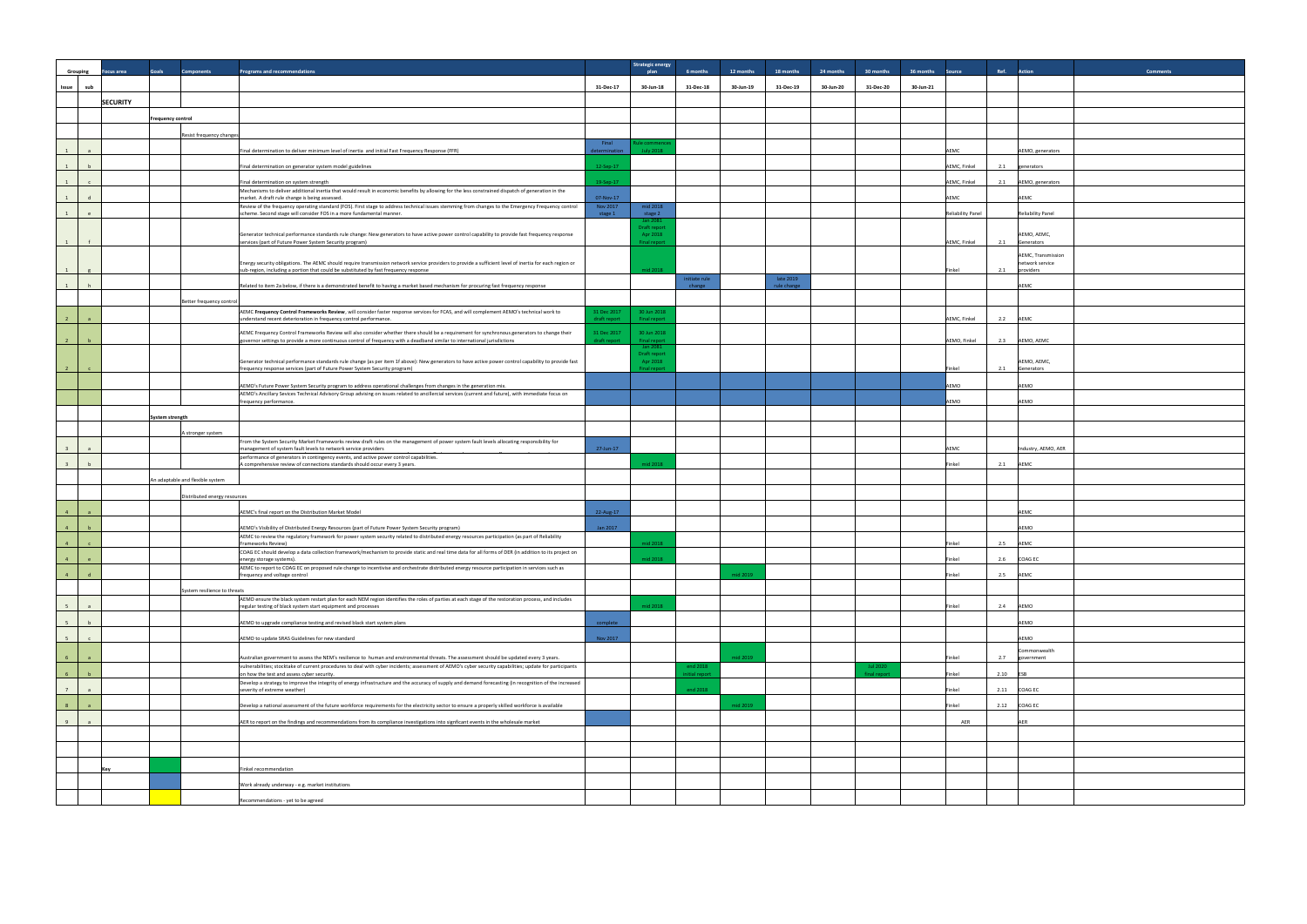|                         | Grouping       | ocus area       | Goals                    | <b>Components</b>                | <b>Programs and recommendations</b>                                                                                                                                                                                                                                                                      |                                                 | <b>Strategic energy</b><br>6 months | 12 months | 18 months                | 24 months | 30 months                       | 36 months | Source                   | Ref. Action     |                                                    | <b>Comment:</b> |
|-------------------------|----------------|-----------------|--------------------------|----------------------------------|----------------------------------------------------------------------------------------------------------------------------------------------------------------------------------------------------------------------------------------------------------------------------------------------------------|-------------------------------------------------|-------------------------------------|-----------|--------------------------|-----------|---------------------------------|-----------|--------------------------|-----------------|----------------------------------------------------|-----------------|
| Issue                   | sub            |                 |                          |                                  | 31-Dec-17                                                                                                                                                                                                                                                                                                | 30-Jun-18                                       | 31-Dec-18                           | 30-Jun-19 | 31-Dec-19                | 30-Jun-20 | 31-Dec-20                       | 30-Jun-21 |                          |                 |                                                    |                 |
|                         |                | <b>SECURITY</b> |                          |                                  |                                                                                                                                                                                                                                                                                                          |                                                 |                                     |           |                          |           |                                 |           |                          |                 |                                                    |                 |
|                         |                |                 | <b>Frequency control</b> |                                  |                                                                                                                                                                                                                                                                                                          |                                                 |                                     |           |                          |           |                                 |           |                          |                 |                                                    |                 |
|                         |                |                 |                          | Resist frequency changes         |                                                                                                                                                                                                                                                                                                          |                                                 |                                     |           |                          |           |                                 |           |                          |                 |                                                    |                 |
|                         | $\overline{a}$ |                 |                          |                                  | Final<br>Final determination to deliver minimum level of inertia and initial Fast Frequency Response (FFR)                                                                                                                                                                                               | ule commence<br><b>July 2018</b>                |                                     |           |                          |           |                                 |           | AEMC                     |                 |                                                    |                 |
| 1                       |                |                 |                          |                                  | letermination                                                                                                                                                                                                                                                                                            |                                                 |                                     |           |                          |           |                                 |           |                          |                 | AEMO, generators                                   |                 |
| 1                       | b              |                 |                          |                                  | 12-Sep-17<br>Final determination on generator system model guidelines                                                                                                                                                                                                                                    |                                                 |                                     |           |                          |           |                                 |           | AEMC, Finkel             | 2.1             | generators                                         |                 |
| 1                       | $\mathsf{C}$   |                 |                          |                                  | 19-Sep-17<br>Final determination on system strength<br>Mechanisms to deliver additional inertia that would result in economic benefits by allowing for the less constrained dispatch of generation in the                                                                                                |                                                 |                                     |           |                          |           |                                 |           | AEMC, Finkel             | 2.1             | AEMO, generators                                   |                 |
| 1                       | d              |                 |                          |                                  | 07-Nov-17<br>market. A draft rule change is being assessed.<br>Review of the frequency operating standard (FOS). First stage to address technical issues stemming from changes to the Emergency Frequency control<br>Nov 2017                                                                            | mid 2018                                        |                                     |           |                          |           |                                 |           | AEMC                     | AEMC            |                                                    |                 |
| 1                       |                |                 |                          |                                  | scheme. Second stage will consider FOS in a more fundamental manner.<br>stage 1                                                                                                                                                                                                                          | stage 2<br>Jan 2081                             |                                     |           |                          |           |                                 |           | <b>Reliability Panel</b> |                 | <b>Reliability Panel</b>                           |                 |
| $\mathbf{1}$            |                |                 |                          |                                  | Generator technical performance standards rule change: New generators to have active power control capability to provide fast frequency response<br>services (part of Future Power System Security program)                                                                                              | Draft report<br>Apr 2018<br><b>Final report</b> |                                     |           |                          |           |                                 |           | AEMC, Finkel             | 2.1             | AEMO, AEMC,<br>Generators                          |                 |
|                         |                |                 |                          |                                  | Energy security obligations. The AEMC should require transmission network service providers to provide a sufficient level of inertia for each region or<br>sub-region, including a portion that could be substituted by fast frequency response                                                          | mid 2018                                        |                                     |           |                          |           |                                 |           | Finkel                   | 2.1             | AEMC, Transmission<br>network service<br>providers |                 |
| 1                       | h              |                 |                          |                                  | Related to item 2a below, if there is a demonstrated benefit to having a market based mechanism for procuring fast frequency response                                                                                                                                                                    |                                                 | initiate rule<br>change             |           | late 2019<br>rule change |           |                                 |           |                          | AEMC            |                                                    |                 |
|                         |                |                 |                          | Better frequency control         |                                                                                                                                                                                                                                                                                                          |                                                 |                                     |           |                          |           |                                 |           |                          |                 |                                                    |                 |
| $\overline{2}$          |                |                 |                          |                                  | AEMC Frequency Control Frameworks Review, will consider faster response services for FCAS, and will complement AEMO's technical work to<br>31 Dec 2017<br>understand recent deterioration in frequency control performance.<br>draft report                                                              | 30 Jun 2018<br>Final report                     |                                     |           |                          |           |                                 |           | AEMC, Finkel             | 2.2 AEMC        |                                                    |                 |
| $\overline{2}$          |                |                 |                          |                                  | AEMC Frequency Control Frameworks Review will also consider whether there should be a requirement for synchronous generators to change their<br>31 Dec 2017<br>overnor settings to provide a more continuous control of frequency with a deadband similar to international jurisdictions<br>draft report | 30 Jun 2018<br><b>Final report</b>              |                                     |           |                          |           |                                 |           | AEMO, Finkel             | 2.3             | AEMO, AEMC                                         |                 |
|                         |                |                 |                          |                                  |                                                                                                                                                                                                                                                                                                          | Jan 2081<br><b>Draft report</b>                 |                                     |           |                          |           |                                 |           |                          |                 |                                                    |                 |
| $\overline{2}$          |                |                 |                          |                                  | Generator technical performance standards rule change (as per item 1f above): New generators to have active power control capability to provide fast<br>frequency response services (part of Future Power System Security program)                                                                       | Apr 2018<br><b>Final report</b>                 |                                     |           |                          |           |                                 |           | Finkel                   | 2.1             | AEMO, AEMC,<br>Generators                          |                 |
|                         |                |                 |                          |                                  | AEMO's Future Power System Security program to address operational challenges from changes in the generation mix.                                                                                                                                                                                        |                                                 |                                     |           |                          |           |                                 |           | AEMO                     | AEMO            |                                                    |                 |
|                         |                |                 |                          |                                  | AEMO's Ancillary Sevices Technical Advisory Group advising on issues related to ancillercial services (current and future), with immediate focus on<br>frequency performance.                                                                                                                            |                                                 |                                     |           |                          |           |                                 |           | AEMO                     | AEMO            |                                                    |                 |
|                         |                |                 | System strength          |                                  |                                                                                                                                                                                                                                                                                                          |                                                 |                                     |           |                          |           |                                 |           |                          |                 |                                                    |                 |
|                         |                |                 |                          | A stronger system                |                                                                                                                                                                                                                                                                                                          |                                                 |                                     |           |                          |           |                                 |           |                          |                 |                                                    |                 |
| $\overline{\mathbf{3}}$ | $\overline{a}$ |                 |                          |                                  | From the System Security Market Frameworks review draft rules on the management of power system fault levels allocating responsibility for<br>27-Jun-17<br>management of system fault levels to network service providers                                                                                |                                                 |                                     |           |                          |           |                                 |           | AEMC                     |                 | Industry, AEMO, AER                                |                 |
| $\overline{\mathbf{3}}$ | b              |                 |                          |                                  | performance of generators in contingency events, and active power control capabilities.<br>A comprehensive review of connections standards should occur every 3 years.                                                                                                                                   | mid 2018                                        |                                     |           |                          |           |                                 |           | Finkel                   | 2.1<br>AEMC     |                                                    |                 |
|                         |                |                 |                          | An adaptable and flexible system |                                                                                                                                                                                                                                                                                                          |                                                 |                                     |           |                          |           |                                 |           |                          |                 |                                                    |                 |
|                         |                |                 |                          |                                  |                                                                                                                                                                                                                                                                                                          |                                                 |                                     |           |                          |           |                                 |           |                          |                 |                                                    |                 |
|                         |                |                 |                          | Distributed energy resources     | AEMC's final report on the Distribution Market Model                                                                                                                                                                                                                                                     |                                                 |                                     |           |                          |           |                                 |           |                          |                 |                                                    |                 |
| $\overline{4}$          | $\overline{a}$ |                 |                          |                                  | 22-Aug-17                                                                                                                                                                                                                                                                                                |                                                 |                                     |           |                          |           |                                 |           |                          | AEMC            |                                                    |                 |
| 4                       | h              |                 |                          |                                  | Jan 2017<br>AEMO's Visibility of Distributed Energy Resources (part of Future Power System Security program)<br>AEMC to review the regulatory framework for power system security related to distributed energy resources participation (as part of Reliability                                          |                                                 |                                     |           |                          |           |                                 |           |                          | AEMO            |                                                    |                 |
| $\overline{4}$          | $\mathsf{c}$   |                 |                          |                                  | Frameworks Review)<br>COAG EC should develop a data collection framework/mechanism to provide static and real time data for all forms of DER (in addition to its project on                                                                                                                              | mid 2018                                        |                                     |           |                          |           |                                 |           | Finkel                   | 2.5<br>AEMC     |                                                    |                 |
| $-4$                    | e              |                 |                          |                                  | energy storage systems).<br>AEMC to report to COAG EC on proposed rule change to incentivise and orchestrate distributed energy resource participation in services such as                                                                                                                               | mid 2018                                        |                                     |           |                          |           |                                 |           | Finkel                   | COAG EC<br>2.6  |                                                    |                 |
| $\overline{4}$          |                |                 |                          |                                  | frequency and voltage control                                                                                                                                                                                                                                                                            |                                                 |                                     | mid 2019  |                          |           |                                 |           | Finkel                   | 2.5 AEMC        |                                                    |                 |
|                         |                |                 |                          | System resilience to threats     | AEMO ensure the black system restart plan for each NEM region identifies the roles of parties at each stage of the restoration process, and includes                                                                                                                                                     |                                                 |                                     |           |                          |           |                                 |           |                          |                 |                                                    |                 |
| 5                       | $\mathsf{a}$   |                 |                          |                                  | regular testing of black system start equipment and processes                                                                                                                                                                                                                                            | mid 2018                                        |                                     |           |                          |           |                                 |           | Finkel                   | 2.4 AEMO        |                                                    |                 |
| 5 <sup>5</sup>          | b              |                 |                          |                                  | AEMO to upgrade compliance testing and revised black start system plans<br>complete                                                                                                                                                                                                                      |                                                 |                                     |           |                          |           |                                 |           |                          | AEMO            |                                                    |                 |
| $5 -$                   | $\mathsf{c}$   |                 |                          |                                  | AEMO to update SRAS Guidelines for new standard<br>Nov 2017                                                                                                                                                                                                                                              |                                                 |                                     |           |                          |           |                                 |           |                          | AEMO            |                                                    |                 |
| 6 <sup>5</sup>          |                |                 |                          |                                  | Australian government to assess the NEM's resilience to human and environmental threats. The assessment should be updated every 3 years.                                                                                                                                                                 |                                                 |                                     | mid 2019  |                          |           |                                 |           | Finkel                   | 2.7             | Commonwealth<br>government                         |                 |
| 6 <sup>1</sup>          | $\mathbf b$    |                 |                          |                                  | vulnerabilities; stocktake of current procedures to deal with cyber incidents; assessment of AEMO's cyber security capabilities; update for participants<br>on how the test and assess cyber security.                                                                                                   |                                                 | end 2018<br>nitial report           |           |                          |           | <b>Jul 2020</b><br>final report |           | Finkel                   | 2.10<br>ESB     |                                                    |                 |
| 7                       | $\overline{a}$ |                 |                          |                                  | Develop a strategy to improve the integrity of energy infrastructure and the accuracy of supply and demand forecasting (in recognition of the increased<br>severity of extreme weather)                                                                                                                  |                                                 | end 2018                            |           |                          |           |                                 |           | Finkel                   | 2.11<br>COAG EC |                                                    |                 |
| 8                       | $\overline{a}$ |                 |                          |                                  | Develop a national assessment of the future workforce requirements for the electricity sector to ensure a properly skilled workforce is available                                                                                                                                                        |                                                 |                                     | mid 2019  |                          |           |                                 |           | Finkel                   | 2.12            | <b>COAG EC</b>                                     |                 |
| 9                       | $\alpha$       |                 |                          |                                  | AER to report on the findings and recommendations from its compliance investigations into signficant events in the wholesale market                                                                                                                                                                      |                                                 |                                     |           |                          |           |                                 |           | AER                      | AER             |                                                    |                 |
|                         |                |                 |                          |                                  |                                                                                                                                                                                                                                                                                                          |                                                 |                                     |           |                          |           |                                 |           |                          |                 |                                                    |                 |
|                         |                |                 |                          |                                  |                                                                                                                                                                                                                                                                                                          |                                                 |                                     |           |                          |           |                                 |           |                          |                 |                                                    |                 |
|                         |                |                 |                          |                                  |                                                                                                                                                                                                                                                                                                          |                                                 |                                     |           |                          |           |                                 |           |                          |                 |                                                    |                 |
|                         |                | Key             |                          |                                  | Finkel recommendation                                                                                                                                                                                                                                                                                    |                                                 |                                     |           |                          |           |                                 |           |                          |                 |                                                    |                 |
|                         |                |                 |                          |                                  | Work already underway - e.g. market institutions                                                                                                                                                                                                                                                         |                                                 |                                     |           |                          |           |                                 |           |                          |                 |                                                    |                 |
|                         |                |                 |                          |                                  | Recommendations - yet to be agreed                                                                                                                                                                                                                                                                       |                                                 |                                     |           |                          |           |                                 |           |                          |                 |                                                    |                 |

| Ref.    | <b>Action</b>                                      | <b>Comments</b> |
|---------|----------------------------------------------------|-----------------|
|         |                                                    |                 |
|         |                                                    |                 |
|         |                                                    |                 |
|         |                                                    |                 |
|         | AEMO, generators                                   |                 |
| $2.1\,$ | generators                                         |                 |
| 2.1     | AEMO, generators                                   |                 |
|         | AEMC                                               |                 |
|         | <b>Reliability Panel</b>                           |                 |
| 2.1     | AEMO, AEMC,<br>Generators                          |                 |
| 2.1     | AEMC, Transmission<br>network service<br>providers |                 |
|         | AEMC                                               |                 |
|         |                                                    |                 |
| 2.2     | AEMC                                               |                 |
| 2.3     | AEMO, AEMC                                         |                 |
| 2.1     | AEMO, AEMC,<br>Generators                          |                 |
|         | AEMO                                               |                 |
|         | AEMO                                               |                 |
|         |                                                    |                 |
|         |                                                    |                 |
|         | Industry, AEMO, AER                                |                 |
| $2.1\,$ | AEMC                                               |                 |
|         |                                                    |                 |
|         |                                                    |                 |
|         | AEMC                                               |                 |
|         | AEMO                                               |                 |
| 2.5     | AEMC                                               |                 |
| 2.6     | COAG EC                                            |                 |
| 2.5     | AEMC                                               |                 |
|         |                                                    |                 |
| 2.4     | AEMO                                               |                 |
|         | AEMO                                               |                 |
|         | AEMO<br>Commonwealth                               |                 |
| 2.7     | government                                         |                 |
| 2.10    | ESB                                                |                 |
| 2.11    | COAG EC                                            |                 |
| 2.12    | COAG EC                                            |                 |
|         | AER                                                |                 |
|         |                                                    |                 |
|         |                                                    |                 |
|         |                                                    |                 |
|         |                                                    |                 |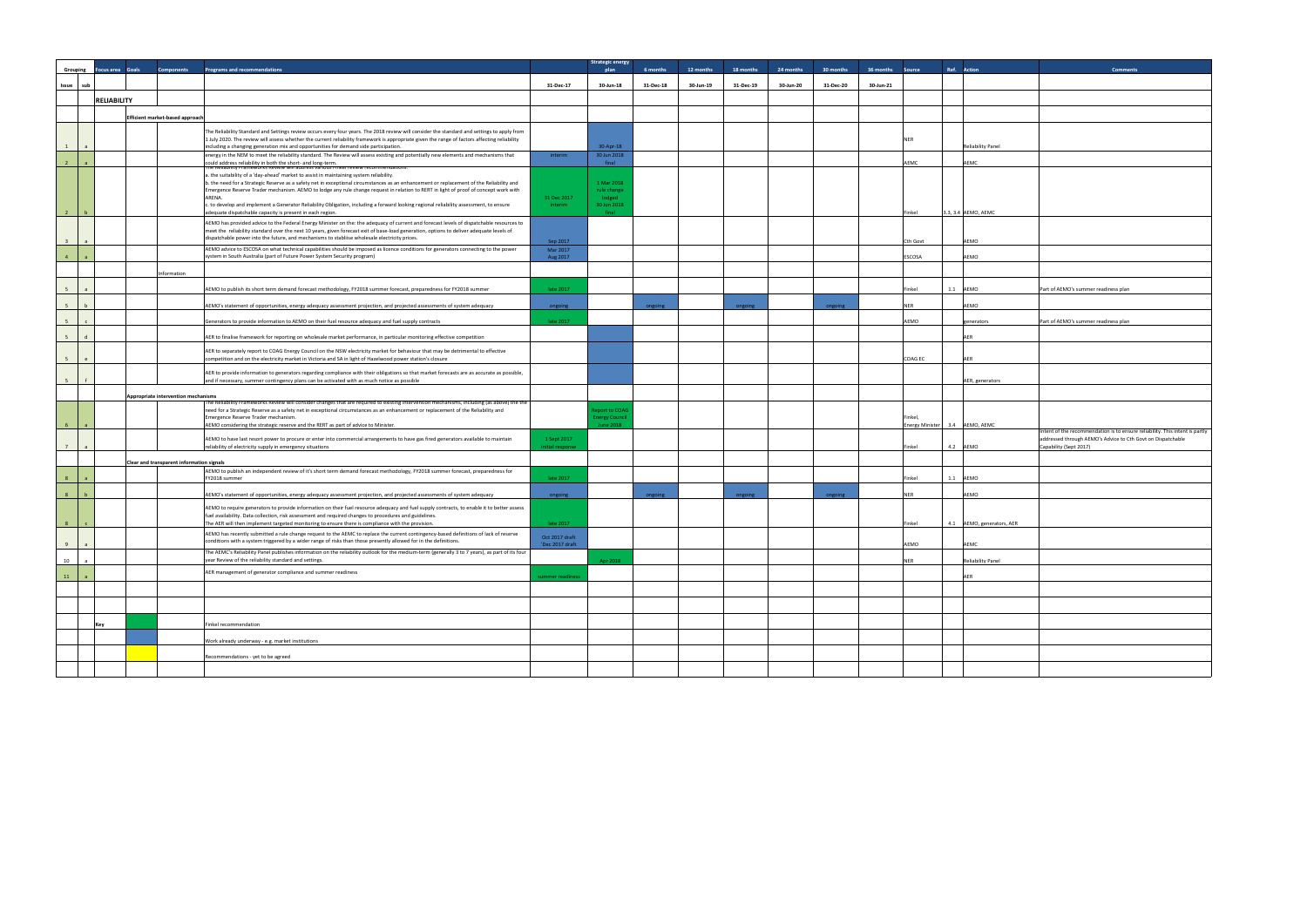|                           |                    |                                                                                                                                                                                                                                                                                              |                      | <b>Strategic energy</b>               |           |           |           |           |           |                            |                                |                                                                                     |
|---------------------------|--------------------|----------------------------------------------------------------------------------------------------------------------------------------------------------------------------------------------------------------------------------------------------------------------------------------------|----------------------|---------------------------------------|-----------|-----------|-----------|-----------|-----------|----------------------------|--------------------------------|-------------------------------------------------------------------------------------|
| Grouping Focus area Goals |                    | Programs and recommendations<br><b>Components</b>                                                                                                                                                                                                                                            |                      | plan                                  | 6 months  | 12 months | 18 months | 24 months | 30 months | 36 months<br><b>Source</b> | Ref. Action                    | <b>Comments</b>                                                                     |
| Issue<br>sub              |                    |                                                                                                                                                                                                                                                                                              | 31-Dec-17            | 30-Jun-18                             | 31-Dec-18 | 30-Jun-19 | 31-Dec-19 | 30-Jun-20 | 31-Dec-20 | 30-Jun-21                  |                                |                                                                                     |
|                           |                    |                                                                                                                                                                                                                                                                                              |                      |                                       |           |           |           |           |           |                            |                                |                                                                                     |
|                           | <b>RELIABILITY</b> |                                                                                                                                                                                                                                                                                              |                      |                                       |           |           |           |           |           |                            |                                |                                                                                     |
|                           |                    | Efficient market-based approach                                                                                                                                                                                                                                                              |                      |                                       |           |           |           |           |           |                            |                                |                                                                                     |
|                           |                    |                                                                                                                                                                                                                                                                                              |                      |                                       |           |           |           |           |           |                            |                                |                                                                                     |
|                           |                    | The Reliability Standard and Settings review occurs every four years. The 2018 review will consider the standard and settings to apply from<br>1 July 2020. The review will assess whether the current reliability framework is appropriate given the range of factors affecting reliability |                      |                                       |           |           |           |           |           | <b>NER</b>                 |                                |                                                                                     |
| 1<br>$\overline{a}$       |                    | including a changing generation mix and opportunities for demand side participation.                                                                                                                                                                                                         |                      | 30-Apr-18                             |           |           |           |           |           |                            | <b>Reliability Panel</b>       |                                                                                     |
|                           |                    | energy in the NEM to meet the reliability standard. The Review will assess existing and potentially new elements and mechanisms that                                                                                                                                                         | interim              | 30 Jun 2018                           |           |           |           |           |           |                            |                                |                                                                                     |
| $\overline{2}$            |                    | could address reliability in both the short- and long-term.<br>The Reliability Frameworks Review will address various Finkel review recommendations:                                                                                                                                         |                      | final                                 |           |           |           |           |           | AEMC                       | AEMC                           |                                                                                     |
|                           |                    | a. the suitability of a 'day-ahead' market to assist in maintaining system reliability.<br>b. the need for a Strategic Reserve as a safety net in exceptional circumstances as an enhancement or replacement of the Reliability and                                                          |                      | 1 Mar 2018                            |           |           |           |           |           |                            |                                |                                                                                     |
|                           |                    | Emergence Reserve Trader mechanism. AEMO to lodge any rule change request in relation to RERT in light of proof of concept work with                                                                                                                                                         |                      | rule change                           |           |           |           |           |           |                            |                                |                                                                                     |
|                           |                    | ARENA.                                                                                                                                                                                                                                                                                       | 31 Dec 2017          | lodged                                |           |           |           |           |           |                            |                                |                                                                                     |
|                           |                    | c. to develop and implement a Generator Reliability Obligation, including a forward looking regional reliability assessment, to ensure<br>adequate dispatchable capacity is present in each region.                                                                                          | interim              | 30 Jun 2018<br>final                  |           |           |           |           |           | Finkel                     | 3.3, 3.4 AEMO, AEMC            |                                                                                     |
|                           |                    | AEMO has provided advice to the Federal Energy Minister on the: the adequacy of current and forecast levels of dispatchable resources to                                                                                                                                                     |                      |                                       |           |           |           |           |           |                            |                                |                                                                                     |
|                           |                    | meet the reliability standard over the next 10 years, given forecast exit of base-load generation, options to deliver adequate levels of                                                                                                                                                     |                      |                                       |           |           |           |           |           |                            |                                |                                                                                     |
| $\overline{3}$            |                    | dispatchable power into the future, and mechanisms to stabliise wholesale electricity prices.                                                                                                                                                                                                | Sep 2017             |                                       |           |           |           |           |           | Cth Govt                   | AEMO                           |                                                                                     |
| $\overline{4}$            |                    | AEMO advice to ESCOSA on what technical capabilities should be imposed as licence conditions for generators connecting to the power<br>system in South Australia (part of Future Power System Security program)                                                                              | Mar 2017<br>Aug 2017 |                                       |           |           |           |           |           | ESCOSA                     | AEMO                           |                                                                                     |
|                           |                    |                                                                                                                                                                                                                                                                                              |                      |                                       |           |           |           |           |           |                            |                                |                                                                                     |
|                           |                    | nformation                                                                                                                                                                                                                                                                                   |                      |                                       |           |           |           |           |           |                            |                                |                                                                                     |
| 5 <sup>5</sup>            |                    | AEMO to publish its short term demand forecast methodology, FY2018 summer forecast, preparedness for FY2018 summer                                                                                                                                                                           | late 2017            |                                       |           |           |           |           |           | Finkel                     | 1.1 AEMO                       | Part of AEMO's summer readiness plan                                                |
|                           |                    |                                                                                                                                                                                                                                                                                              |                      |                                       |           |           |           |           |           |                            |                                |                                                                                     |
| 5 <sup>5</sup><br>h       |                    | AEMO's statement of opportunities, energy adequacy assessment projection, and projected assessments of system adequacy                                                                                                                                                                       | ongoing              |                                       | ongoing   |           | ongoing   |           | ongoing   | <b>NFR</b>                 | AEMO                           |                                                                                     |
| 5                         |                    | Generators to provide information to AEMO on their fuel resource adequacy and fuel supply contracts                                                                                                                                                                                          | late 2017            |                                       |           |           |           |           |           | AEMO                       | generators                     | Part of AEMO's summer readiness plan                                                |
|                           |                    |                                                                                                                                                                                                                                                                                              |                      |                                       |           |           |           |           |           |                            |                                |                                                                                     |
| 5                         |                    | AER to finalise framework for reporting on wholesale market performance, in particular monitoring effective competition                                                                                                                                                                      |                      |                                       |           |           |           |           |           |                            | <b>AER</b>                     |                                                                                     |
|                           |                    | AER to separately report to COAG Energy Council on the NSW electricity market for behaviour that may be detrimental to effective                                                                                                                                                             |                      |                                       |           |           |           |           |           |                            |                                |                                                                                     |
|                           |                    | competition and on the electricity market in Victoria and SA in light of Hazelwood power station's closure                                                                                                                                                                                   |                      |                                       |           |           |           |           |           | <b>COAG EC</b>             | <b>AER</b>                     |                                                                                     |
|                           |                    | AER to provide information to generators regarding compliance with their obligations so that market forecasts are as accurate as possible,                                                                                                                                                   |                      |                                       |           |           |           |           |           |                            |                                |                                                                                     |
| 5                         |                    | and if necessary, summer contingency plans can be activated with as much notice as possible                                                                                                                                                                                                  |                      |                                       |           |           |           |           |           |                            | AER, generators                |                                                                                     |
|                           |                    | Appropriate intervention mechanisms                                                                                                                                                                                                                                                          |                      |                                       |           |           |           |           |           |                            |                                |                                                                                     |
|                           |                    | The Reliability Frameworks Review will consider changes that are required to existing intervention mechanisms, including (as above) the the                                                                                                                                                  |                      |                                       |           |           |           |           |           |                            |                                |                                                                                     |
|                           |                    | need for a Strategic Reserve as a safety net in exceptional circumstances as an enhancement or replacement of the Reliability and<br>Emergence Reserve Trader mechanism.                                                                                                                     |                      | Report to COA<br><b>Inergy Counci</b> |           |           |           |           |           | Finkel.                    |                                |                                                                                     |
|                           |                    | AEMO considering the strategic reserve and the RERT as part of advice to Minister.                                                                                                                                                                                                           |                      | June 2018                             |           |           |           |           |           |                            | Energy Minister 3.4 AEMO, AEMC |                                                                                     |
|                           |                    | AEMO to have last resort power to procure or enter into commercial arrangements to have gas fired generators available to maintain                                                                                                                                                           | 1 Sept 2017          |                                       |           |           |           |           |           |                            |                                | Intent of the recommendation is to ensure<br>addressed through AEMO's Advice to Cth |
| 7<br>$\overline{a}$       |                    | reliability of electricity supply in emergency situations                                                                                                                                                                                                                                    | initial response     |                                       |           |           |           |           |           | Finkel                     | 4.2 AEMO                       | Capability (Sept 2017)                                                              |
|                           |                    |                                                                                                                                                                                                                                                                                              |                      |                                       |           |           |           |           |           |                            |                                |                                                                                     |
|                           |                    | Clear and transparent information signals<br>AEMO to publish an independent review of it's short term demand forecast methodology, FY2018 summer forecast, preparedness for                                                                                                                  |                      |                                       |           |           |           |           |           |                            |                                |                                                                                     |
|                           |                    | FY2018 summer                                                                                                                                                                                                                                                                                | late 2017            |                                       |           |           |           |           |           | Finkel                     | 1.1 AEMO                       |                                                                                     |
| 8                         |                    | AEMO's statement of opportunities, energy adequacy assessment projection, and projected assessments of system adequacy                                                                                                                                                                       |                      |                                       |           |           |           |           |           | <b>NER</b>                 | AEMO                           |                                                                                     |
|                           |                    |                                                                                                                                                                                                                                                                                              | ongoing              |                                       | ongoing   |           | ongoing   |           | ongoing   |                            |                                |                                                                                     |
|                           |                    | AEMO to require generators to provide information on their fuel resource adequacy and fuel supply contracts, to enable it to better assess<br>fuel availability. Data collection, risk assessment and required changes to procedures and guidelines.                                         |                      |                                       |           |           |           |           |           |                            |                                |                                                                                     |
|                           |                    | The AER will then implement targeted monitoring to ensure there is compliance with the provision.                                                                                                                                                                                            | late 2017            |                                       |           |           |           |           |           | Finkel                     | 4.1 AEMO, generators, AER      |                                                                                     |
|                           |                    | AEMO has recently submitted a rule change request to the AEMC to replace the current contingency-based definitions of lack of reserve                                                                                                                                                        | Oct 2017 draft       |                                       |           |           |           |           |           |                            |                                |                                                                                     |
|                           |                    | conditions with a system triggered by a wider range of risks than those presently allowed for in the definitions.                                                                                                                                                                            | 'Dec 2017 draft      |                                       |           |           |           |           |           | AEMO                       | AEMC                           |                                                                                     |
|                           |                    | The AEMC's Reliability Panel publishes information on the reliability outlook for the medium-term (generally 3 to 7 years), as part of its four                                                                                                                                              |                      |                                       |           |           |           |           |           |                            |                                |                                                                                     |
| 10                        |                    | year Review of the reliability standard and settings.                                                                                                                                                                                                                                        |                      | Apr 2018                              |           |           |           |           |           | <b>NER</b>                 | <b>Reliability Panel</b>       |                                                                                     |
| 11                        |                    | AER management of generator compliance and summer readiness                                                                                                                                                                                                                                  | summer readiness     |                                       |           |           |           |           |           |                            | <b>AER</b>                     |                                                                                     |
|                           |                    |                                                                                                                                                                                                                                                                                              |                      |                                       |           |           |           |           |           |                            |                                |                                                                                     |
|                           |                    |                                                                                                                                                                                                                                                                                              |                      |                                       |           |           |           |           |           |                            |                                |                                                                                     |
|                           |                    |                                                                                                                                                                                                                                                                                              |                      |                                       |           |           |           |           |           |                            |                                |                                                                                     |
|                           |                    |                                                                                                                                                                                                                                                                                              |                      |                                       |           |           |           |           |           |                            |                                |                                                                                     |
| Key                       |                    | Finkel recommendation                                                                                                                                                                                                                                                                        |                      |                                       |           |           |           |           |           |                            |                                |                                                                                     |
|                           |                    | Work already underway - e.g. market institutions                                                                                                                                                                                                                                             |                      |                                       |           |           |           |           |           |                            |                                |                                                                                     |
|                           |                    | Recommendations - yet to be agreed                                                                                                                                                                                                                                                           |                      |                                       |           |           |           |           |           |                            |                                |                                                                                     |
|                           |                    |                                                                                                                                                                                                                                                                                              |                      |                                       |           |           |           |           |           |                            |                                |                                                                                     |
|                           |                    |                                                                                                                                                                                                                                                                                              |                      |                                       |           |           |           |           |           |                            |                                |                                                                                     |

| Source                     | Ref.    | Action                   | <b>Comments</b>                                                                                                                             |
|----------------------------|---------|--------------------------|---------------------------------------------------------------------------------------------------------------------------------------------|
|                            |         |                          |                                                                                                                                             |
|                            |         |                          |                                                                                                                                             |
|                            |         |                          |                                                                                                                                             |
|                            |         |                          |                                                                                                                                             |
| NER                        |         | <b>Reliability Panel</b> |                                                                                                                                             |
|                            |         |                          |                                                                                                                                             |
| AEMC                       |         | AEMC                     |                                                                                                                                             |
|                            |         |                          |                                                                                                                                             |
|                            |         |                          |                                                                                                                                             |
| Finkel                     |         | 3.3, 3.4 AEMO, AEMC      |                                                                                                                                             |
|                            |         |                          |                                                                                                                                             |
| Cth Govt                   |         | AEMO                     |                                                                                                                                             |
| ESCOSA                     |         | AEMO                     |                                                                                                                                             |
|                            |         |                          |                                                                                                                                             |
| Finkel                     | $1.1\,$ | AEMO                     | Part of AEMO's summer readiness plan                                                                                                        |
| NER                        |         | AEMO                     |                                                                                                                                             |
| AEMO                       |         | generators               | Part of AEMO's summer readiness plan                                                                                                        |
|                            |         | AER                      |                                                                                                                                             |
|                            |         |                          |                                                                                                                                             |
| COAG EC                    |         | AER                      |                                                                                                                                             |
|                            |         | AER, generators          |                                                                                                                                             |
|                            |         |                          |                                                                                                                                             |
|                            |         |                          |                                                                                                                                             |
| Finkel,<br>Energy Minister | 3.4     | AEMO, AEMC               |                                                                                                                                             |
|                            |         |                          | Intent of the recommendation is to ensure reliability. This intent is partly<br>addressed through AEMO's Advice to Cth Govt on Dispatchable |
| Finkel                     | $4.2\,$ | AEMO                     | Capability (Sept 2017)                                                                                                                      |
|                            |         |                          |                                                                                                                                             |
| Finkel                     | $1.1\,$ | AEMO                     |                                                                                                                                             |
| NER                        |         | AEMO                     |                                                                                                                                             |
|                            |         |                          |                                                                                                                                             |
| Finkel                     | 4.1     | AEMO, generators, AER    |                                                                                                                                             |
| AEMO                       |         | AEMC                     |                                                                                                                                             |
| NER                        |         | <b>Reliability Panel</b> |                                                                                                                                             |
|                            |         | AER                      |                                                                                                                                             |
|                            |         |                          |                                                                                                                                             |
|                            |         |                          |                                                                                                                                             |
|                            |         |                          |                                                                                                                                             |
|                            |         |                          |                                                                                                                                             |
|                            |         |                          |                                                                                                                                             |
|                            |         |                          |                                                                                                                                             |
|                            |         |                          |                                                                                                                                             |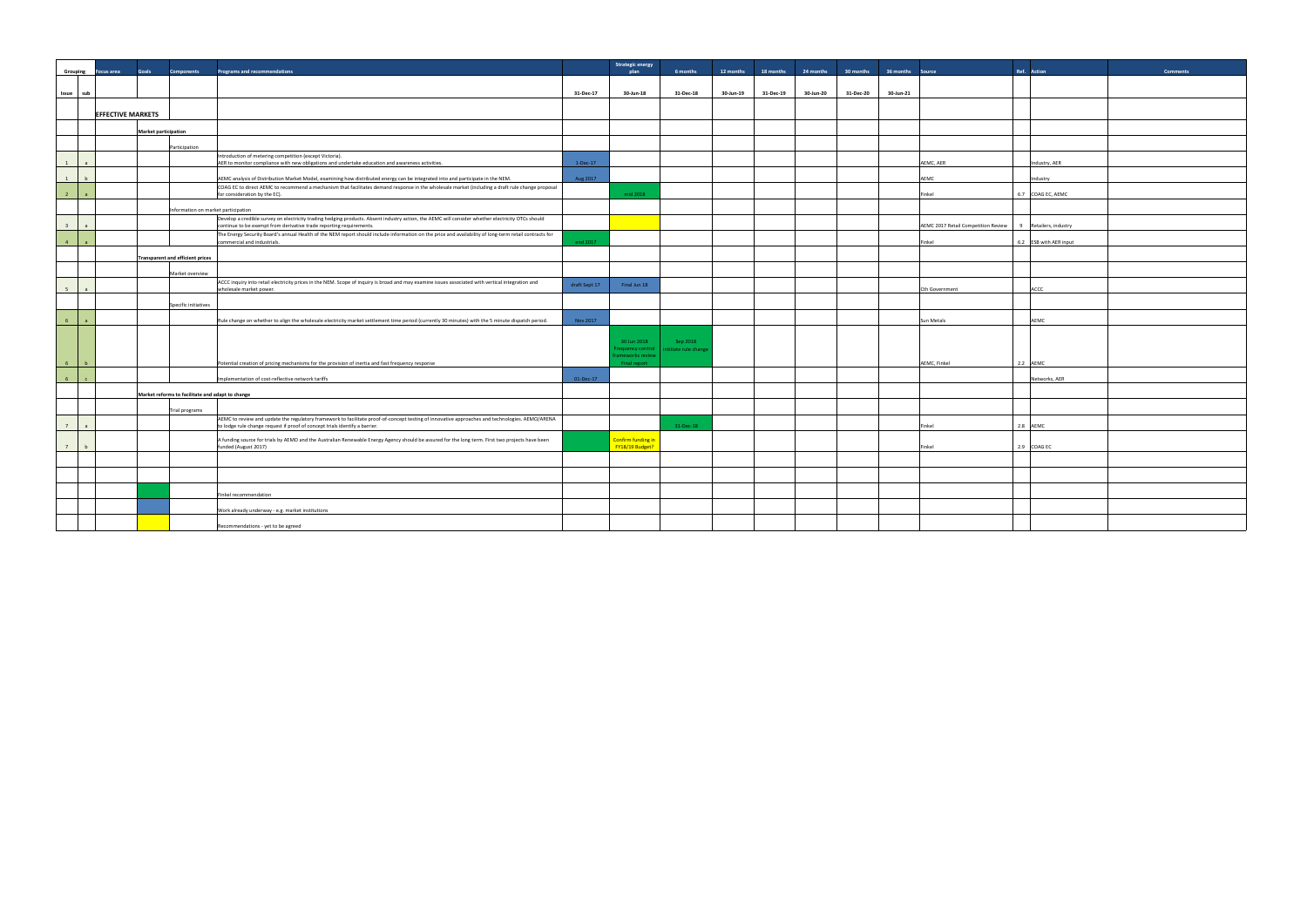|           | Ref.             | <b>Action</b>       | Comments |
|-----------|------------------|---------------------|----------|
|           |                  |                     |          |
|           |                  |                     |          |
|           |                  |                     |          |
|           |                  |                     |          |
|           |                  |                     |          |
|           |                  | Industry, AER       |          |
|           |                  | Industry            |          |
|           | 6.7              | COAG EC, AEMC       |          |
|           |                  |                     |          |
| on Review | $\boldsymbol{9}$ | Retailers, industry |          |
|           | $6.2\,$          | ESB with AER input  |          |
|           |                  |                     |          |
|           |                  |                     |          |
|           |                  | ACCC                |          |
|           |                  |                     |          |
|           |                  | AEMC                |          |
|           |                  |                     |          |
|           |                  |                     |          |
|           | $2.2\,$          | AEMC                |          |
|           |                  | Networks, AER       |          |
|           |                  |                     |          |
|           |                  |                     |          |
|           | $2.8\,$          | AEMC                |          |
|           | 2.9              | COAG EC             |          |
|           |                  |                     |          |
|           |                  |                     |          |
|           |                  |                     |          |
|           |                  |                     |          |
|           |                  |                     |          |

|                         |                          | <b>Goals</b>                | <b>Components</b>                                                  | <b>Programs and recommendations</b>                                                                                                                                                                                            |               | <b>Strategic energy</b><br>plan                                     | 6 months                          | 12 months | 18 months | 24 months | 30 months | 36 months Source |                                     | Ref. Action            | <b>Comments</b> |
|-------------------------|--------------------------|-----------------------------|--------------------------------------------------------------------|--------------------------------------------------------------------------------------------------------------------------------------------------------------------------------------------------------------------------------|---------------|---------------------------------------------------------------------|-----------------------------------|-----------|-----------|-----------|-----------|------------------|-------------------------------------|------------------------|-----------------|
|                         | Grouping Focus area      |                             |                                                                    |                                                                                                                                                                                                                                |               |                                                                     |                                   |           |           |           |           |                  |                                     |                        |                 |
| Issue sub               |                          |                             |                                                                    |                                                                                                                                                                                                                                | 31-Dec-17     | 30-Jun-18                                                           | 31-Dec-18                         | 30-Jun-19 | 31-Dec-19 | 30-Jun-20 | 31-Dec-20 | 30-Jun-21        |                                     |                        |                 |
|                         |                          |                             |                                                                    |                                                                                                                                                                                                                                |               |                                                                     |                                   |           |           |           |           |                  |                                     |                        |                 |
|                         | <b>EFFECTIVE MARKETS</b> |                             |                                                                    |                                                                                                                                                                                                                                |               |                                                                     |                                   |           |           |           |           |                  |                                     |                        |                 |
|                         |                          | <b>Market participation</b> |                                                                    |                                                                                                                                                                                                                                |               |                                                                     |                                   |           |           |           |           |                  |                                     |                        |                 |
|                         |                          |                             | Participation                                                      |                                                                                                                                                                                                                                |               |                                                                     |                                   |           |           |           |           |                  |                                     |                        |                 |
| 1                       |                          |                             |                                                                    | Introduction of metering competition (except Victoria).<br>AER to monitor compliance with new obligations and undertake education and awareness activities.                                                                    | $1-Dec-17$    |                                                                     |                                   |           |           |           |           | AEMC, AER        |                                     | Industry, AER          |                 |
| 1                       |                          |                             |                                                                    | AEMC analysis of Distribution Market Model, examining how distributed energy can be integrated into and participate in the NEM.                                                                                                | Aug 2017      |                                                                     |                                   |           |           |           |           | AEMC             |                                     | Industry               |                 |
| 2 <sup>7</sup>          |                          |                             |                                                                    | COAG EC to direct AEMC to recommend a mechanism that facilitates demand response in the wholesale market (including a draft rule change proposal<br>for consideration by the EC).                                              |               | mid 2018                                                            |                                   |           |           |           |           | Finkel           |                                     | 6.7 COAG EC, AEMC      |                 |
|                         |                          |                             |                                                                    | Information on market participation                                                                                                                                                                                            |               |                                                                     |                                   |           |           |           |           |                  |                                     |                        |                 |
| $\overline{\mathbf{3}}$ |                          |                             |                                                                    | Develop a credible survey on electricity trading hedging products. Absent industry action, the AEMC will consider whether electricity OTCs should<br>continue to be exempt from derivative trade reporting requirements.       |               |                                                                     |                                   |           |           |           |           |                  | AEMC 2017 Retail Competition Review | 9 Retailers, industry  |                 |
| $-4$                    |                          |                             |                                                                    | The Energy Security Board's annual Health of the NEM report should include information on the price and availability of long-term retail contracts for<br>commercial and industrials.                                          | end 2017      |                                                                     |                                   |           |           |           |           | Finkel           |                                     | 6.2 ESB with AER input |                 |
|                         |                          |                             | <b>Transparent and efficient prices</b>                            |                                                                                                                                                                                                                                |               |                                                                     |                                   |           |           |           |           |                  |                                     |                        |                 |
|                         |                          |                             | Market overview                                                    |                                                                                                                                                                                                                                |               |                                                                     |                                   |           |           |           |           |                  |                                     |                        |                 |
| 5                       |                          |                             |                                                                    | ACCC inquiry into retail electricity prices in the NEM. Scope of inquiry is broad and may examine issues associated with vertical integration and<br>wholesale market power.                                                   | draft Sept 17 | Final Jun 18                                                        |                                   |           |           |           |           | Cth Government   |                                     | ACCC                   |                 |
|                         |                          |                             | Specific initiatives                                               |                                                                                                                                                                                                                                |               |                                                                     |                                   |           |           |           |           |                  |                                     |                        |                 |
| 6 <sup>1</sup>          |                          |                             |                                                                    | Rule change on whether to align the wholesale electricity market settlement time period (currently 30 minutes) with the 5 minute dispatch period.                                                                              | Nov 2017      |                                                                     |                                   |           |           |           |           | Sun Metals       |                                     | AEMC                   |                 |
| -6                      |                          |                             |                                                                    | Potential creation of pricing mechanisms for the provision of inertia and fast frequency response                                                                                                                              |               | 30 Jun 2018<br>requency control<br>rameworks review<br>Final report | Sep 2018<br>intitiate rule change |           |           |           |           | AEMC, Finkel     |                                     | 2.2 AEMC               |                 |
| 6 <sup>6</sup>          |                          |                             |                                                                    |                                                                                                                                                                                                                                | 01-Dec-17     |                                                                     |                                   |           |           |           |           |                  |                                     | Networks, AER          |                 |
|                         |                          |                             |                                                                    | Implementation of cost-reflective network tariffs                                                                                                                                                                              |               |                                                                     |                                   |           |           |           |           |                  |                                     |                        |                 |
|                         |                          |                             | Market reforms to facilitate and adapt to change<br>Trial programs |                                                                                                                                                                                                                                |               |                                                                     |                                   |           |           |           |           |                  |                                     |                        |                 |
| $7^{\circ}$             |                          |                             |                                                                    | AEMC to review and update the regulatory framework to facilitate proof-of-concept testing of innovative approaches and technologies. AEMO/ARENA<br>to lodge rule change request if proof of concept trials identify a barrier. |               |                                                                     | 31-Dec-18                         |           |           |           |           | Finkel           |                                     | 2.8 AEMC               |                 |
| 7                       |                          |                             |                                                                    | A funding source for trials by AEMO and the Australian Renewable Energy Agency should be assured for the long term. First two projects have been<br>funded (August 2017)                                                       |               | Confirm funding in<br>FY18/19 Budget?                               |                                   |           |           |           |           | Finkel           |                                     | 2.9 COAG EC            |                 |
|                         |                          |                             |                                                                    |                                                                                                                                                                                                                                |               |                                                                     |                                   |           |           |           |           |                  |                                     |                        |                 |
|                         |                          |                             |                                                                    |                                                                                                                                                                                                                                |               |                                                                     |                                   |           |           |           |           |                  |                                     |                        |                 |
|                         |                          |                             |                                                                    | Finkel recommendation                                                                                                                                                                                                          |               |                                                                     |                                   |           |           |           |           |                  |                                     |                        |                 |
|                         |                          |                             |                                                                    | Work already underway - e.g. market institutions                                                                                                                                                                               |               |                                                                     |                                   |           |           |           |           |                  |                                     |                        |                 |
|                         |                          |                             |                                                                    | Recommendations - yet to be agreed                                                                                                                                                                                             |               |                                                                     |                                   |           |           |           |           |                  |                                     |                        |                 |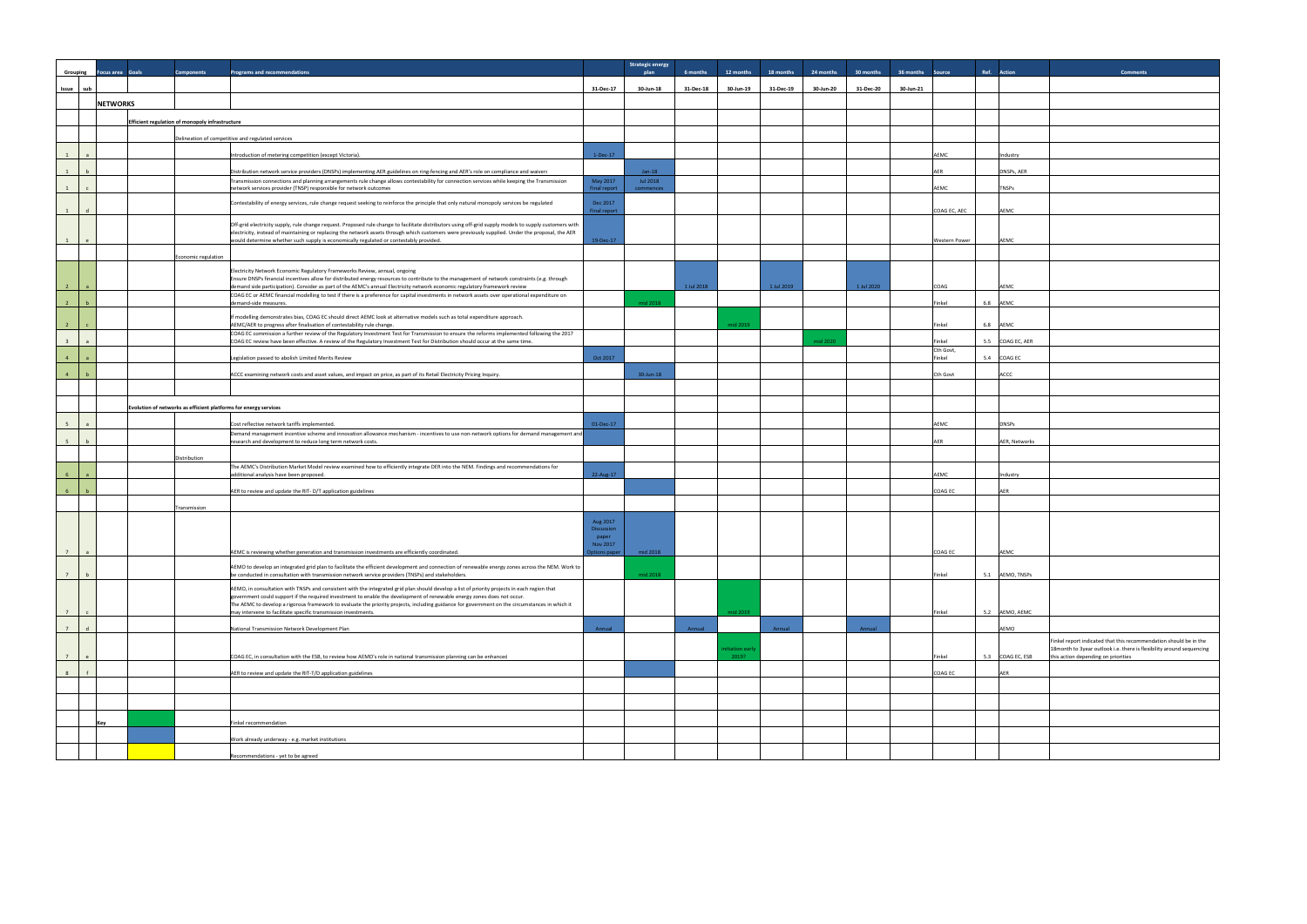| Grouping                         | <b>Focus area</b> Goals | <b>Components</b>                                                | <b>Programs and recommendations</b>                                                                                                                                                                                                                                                                                                                                                                                                                                                         |                                                           | <b>Strategic energy</b><br>plan | 6 months   | 12 months      | 18 months  | 24 months | 30 months  | 36 months Source |                      | Ref. Action      | <b>Comments</b>                                                                        |
|----------------------------------|-------------------------|------------------------------------------------------------------|---------------------------------------------------------------------------------------------------------------------------------------------------------------------------------------------------------------------------------------------------------------------------------------------------------------------------------------------------------------------------------------------------------------------------------------------------------------------------------------------|-----------------------------------------------------------|---------------------------------|------------|----------------|------------|-----------|------------|------------------|----------------------|------------------|----------------------------------------------------------------------------------------|
| Issue sub                        |                         |                                                                  |                                                                                                                                                                                                                                                                                                                                                                                                                                                                                             | 31-Dec-17                                                 | 30-Jun-18                       | 31-Dec-18  | 30-Jun-19      | 31-Dec-19  | 30-Jun-20 | 31-Dec-20  | 30-Jun-21        |                      |                  |                                                                                        |
|                                  | <b>NETWORKS</b>         |                                                                  |                                                                                                                                                                                                                                                                                                                                                                                                                                                                                             |                                                           |                                 |            |                |            |           |            |                  |                      |                  |                                                                                        |
|                                  |                         |                                                                  |                                                                                                                                                                                                                                                                                                                                                                                                                                                                                             |                                                           |                                 |            |                |            |           |            |                  |                      |                  |                                                                                        |
|                                  |                         | Efficient regulation of monopoly infrastructure                  |                                                                                                                                                                                                                                                                                                                                                                                                                                                                                             |                                                           |                                 |            |                |            |           |            |                  |                      |                  |                                                                                        |
|                                  |                         |                                                                  | Delineation of competitive and regulated services                                                                                                                                                                                                                                                                                                                                                                                                                                           |                                                           |                                 |            |                |            |           |            |                  |                      |                  |                                                                                        |
| 1<br>$\overline{a}$              |                         |                                                                  | Introduction of metering competition (except Victoria).                                                                                                                                                                                                                                                                                                                                                                                                                                     | $1-Dec-17$                                                |                                 |            |                |            |           |            |                  | AEMC                 | Industry         |                                                                                        |
| 1<br>h                           |                         |                                                                  | Distribution network service providers (DNSPs) implementing AER guidelines on ring-fencing and AER's role on compliance and waivers                                                                                                                                                                                                                                                                                                                                                         |                                                           | $Jan-18$                        |            |                |            |           |            |                  | AER                  | DNSPs, AER       |                                                                                        |
|                                  |                         |                                                                  | Transmission connections and planning arrangements rule change allows contestability for connection services while keeping the Transmission<br>network services provider (TNSP) responsible for network outcomes                                                                                                                                                                                                                                                                            | May 2017<br><b>Final report</b>                           | Jul 2018<br>commences           |            |                |            |           |            |                  | AEMC                 | <b>TNSPs</b>     |                                                                                        |
| 1                                |                         |                                                                  | Contestability of energy services, rule change request seeking to reinforce the principle that only natural monopoly services be regulated                                                                                                                                                                                                                                                                                                                                                  | Dec 2017<br>Final report                                  |                                 |            |                |            |           |            |                  | COAG EC, AEC         | AEMC             |                                                                                        |
| 1<br>e                           |                         |                                                                  | Off-grid electricity supply, rule change request. Proposed rule change to facilitate distributors using off-grid supply models to supply customers with<br>electricity, instead of maintaining or replacing the network assets through which customers were previously supplied. Under the proposal, the AER<br>would determine whether such supply is economically regulated or contestably provided.                                                                                      | 19-Dec-17                                                 |                                 |            |                |            |           |            |                  | <b>Western Power</b> | AEMC             |                                                                                        |
|                                  |                         | Economic regulation                                              |                                                                                                                                                                                                                                                                                                                                                                                                                                                                                             |                                                           |                                 |            |                |            |           |            |                  |                      |                  |                                                                                        |
| $\overline{2}$                   |                         |                                                                  | Electricity Network Economic Regulatory Frameworks Review, annual, ongoing<br>Ensure DNSPs financial incentives allow for distributed energy resources to contribute to the management of network constraints (e.g. through<br>demand side participation). Consider as part of the AEMC's annual Electricity network economic regulatory framework review                                                                                                                                   |                                                           |                                 | 1 Jul 2018 |                | 1 Jul 2019 |           | 1 Jul 2020 |                  | COAG                 | AEMC             |                                                                                        |
| $\overline{2}$                   |                         |                                                                  | COAG EC or AEMC financial modelling to test if there is a preference for capital investments in network assets over operational expenditure on<br>demand-side measures.                                                                                                                                                                                                                                                                                                                     |                                                           | mid 2018                        |            |                |            |           |            |                  | Finkel               | 6.8 AEMC         |                                                                                        |
| $\overline{2}$                   |                         |                                                                  | If modelling demonstrates bias, COAG EC should direct AEMC look at alternative models such as total expenditure approach.<br>AEMC/AER to progress after finalisation of contestability rule change.                                                                                                                                                                                                                                                                                         |                                                           |                                 |            | mid 2019       |            |           |            |                  | Finkel               | 6.8 AEMC         |                                                                                        |
| $\overline{\mathbf{3}}$          |                         |                                                                  | COAG EC commission a further review of the Regulatory Investment Test for Transmission to ensure the reforms implemented following the 2017<br>COAG EC review have been effective. A review of the Regulatory Investment Test for Distribution should occur at the same time.                                                                                                                                                                                                               |                                                           |                                 |            |                |            | mid 2020  |            |                  | Finkel               | 5.5 COAG EC, AER |                                                                                        |
| 4                                |                         |                                                                  | Legislation passed to abolish Limited Merits Review                                                                                                                                                                                                                                                                                                                                                                                                                                         | Oct 2017                                                  |                                 |            |                |            |           |            |                  | Cth Govt,<br>Finkel  | 5.4 COAG EC      |                                                                                        |
| $\overline{4}$                   |                         |                                                                  | ACCC examining network costs and asset values, and impact on price, as part of its Retail Electricity Pricing Inquiry.                                                                                                                                                                                                                                                                                                                                                                      |                                                           | 30-Jun-18                       |            |                |            |           |            |                  | Cth Govt             | ACCC             |                                                                                        |
|                                  |                         |                                                                  |                                                                                                                                                                                                                                                                                                                                                                                                                                                                                             |                                                           |                                 |            |                |            |           |            |                  |                      |                  |                                                                                        |
|                                  |                         |                                                                  |                                                                                                                                                                                                                                                                                                                                                                                                                                                                                             |                                                           |                                 |            |                |            |           |            |                  |                      |                  |                                                                                        |
|                                  |                         | Evolution of networks as efficient platforms for energy services |                                                                                                                                                                                                                                                                                                                                                                                                                                                                                             |                                                           |                                 |            |                |            |           |            |                  |                      |                  |                                                                                        |
| 5 <sup>5</sup><br>$\overline{a}$ |                         |                                                                  | Cost reflective network tariffs implemented.<br>Demand management incentive scheme and innovation allowance mechanism - incentives to use non-network options for demand management and                                                                                                                                                                                                                                                                                                     | 01-Dec-17                                                 |                                 |            |                |            |           |            |                  | AEMC                 | <b>DNSPs</b>     |                                                                                        |
| 5<br>h                           |                         | <b>Distribution</b>                                              | research and development to reduce long term network costs.                                                                                                                                                                                                                                                                                                                                                                                                                                 |                                                           |                                 |            |                |            |           |            |                  | AFR                  | AER. Networks    |                                                                                        |
| 6                                |                         |                                                                  | The AEMC's Distribution Market Model review examined how to efficiently integrate DER into the NEM. Findings and recommendations for<br>additional analysis have been proposed.                                                                                                                                                                                                                                                                                                             | 22-Aug-17                                                 |                                 |            |                |            |           |            |                  | AEMC                 | Industry         |                                                                                        |
|                                  |                         |                                                                  | AER to review and update the RIT-D/T application guidelines                                                                                                                                                                                                                                                                                                                                                                                                                                 |                                                           |                                 |            |                |            |           |            |                  | COAG EC              | AER              |                                                                                        |
|                                  |                         | Transmission                                                     |                                                                                                                                                                                                                                                                                                                                                                                                                                                                                             |                                                           |                                 |            |                |            |           |            |                  |                      |                  |                                                                                        |
|                                  |                         |                                                                  |                                                                                                                                                                                                                                                                                                                                                                                                                                                                                             | Aug 2017<br><b>Discussion</b><br>paper<br><b>Nov 2017</b> |                                 |            |                |            |           |            |                  |                      |                  |                                                                                        |
| 7 <sup>1</sup><br>$\overline{a}$ |                         |                                                                  | AEMC is reviewing whether generation and transmission investments are efficiently coordinated.                                                                                                                                                                                                                                                                                                                                                                                              |                                                           | ptions paper   mid 2018         |            |                |            |           |            |                  | OAG EC               | AEMO             |                                                                                        |
| 7<br>b                           |                         |                                                                  | AEMO to develop an integrated grid plan to facilitate the efficient development and connection of renewable energy zones across the NEM. Work to<br>be conducted in consultation with transmission network service providers (TNSPs) and stakeholders.                                                                                                                                                                                                                                      |                                                           | mid 2018                        |            |                |            |           |            |                  | Finkel               | 5.1 AEMO, TNSPs  |                                                                                        |
| 7<br>$\mathsf{C}$                |                         |                                                                  | AEMO, in consultation with TNSPs and consistent with the integrated grid plan should develop a list of priority projects in each region that<br>government could support if the required investment to enable the development of renewable energy zones does not occur.<br>The AEMC to develop a rigorous framework to evaluate the priority projects, including guidance for government on the circumstances in which it<br>may intervene to facilitate specific transmission investments. |                                                           |                                 |            | mid 2019       |            |           |            |                  | Finkel               | 5.2 AEMO, AEMC   |                                                                                        |
| $7^{\circ}$                      |                         |                                                                  |                                                                                                                                                                                                                                                                                                                                                                                                                                                                                             | Annual                                                    |                                 | Annual     |                | Annual     |           | Annual     |                  |                      |                  |                                                                                        |
|                                  |                         |                                                                  | National Transmission Network Development Plan                                                                                                                                                                                                                                                                                                                                                                                                                                              |                                                           |                                 |            | nitiation earl |            |           |            |                  |                      | AEMO             | Finkel report indicated that this recomm<br>18month to 3year outlook i.e. there is fle |
| 7                                |                         |                                                                  | COAG EC, in consultation with the ESB, to review how AEMO's role in national transmission planning can be enhanced                                                                                                                                                                                                                                                                                                                                                                          |                                                           |                                 |            | 2019?          |            |           |            |                  | Finkel               | 5.3 COAG EC, ESB | this action depending on priorities                                                    |
| 8                                |                         |                                                                  | AER to review and update the RIT-T/D application guidelines                                                                                                                                                                                                                                                                                                                                                                                                                                 |                                                           |                                 |            |                |            |           |            |                  | COAG EC              | AER              |                                                                                        |
|                                  |                         |                                                                  |                                                                                                                                                                                                                                                                                                                                                                                                                                                                                             |                                                           |                                 |            |                |            |           |            |                  |                      |                  |                                                                                        |
|                                  | Key                     |                                                                  | Finkel recommendation                                                                                                                                                                                                                                                                                                                                                                                                                                                                       |                                                           |                                 |            |                |            |           |            |                  |                      |                  |                                                                                        |
|                                  |                         |                                                                  |                                                                                                                                                                                                                                                                                                                                                                                                                                                                                             |                                                           |                                 |            |                |            |           |            |                  |                      |                  |                                                                                        |
|                                  |                         |                                                                  | Work already underway - e.g. market institutions                                                                                                                                                                                                                                                                                                                                                                                                                                            |                                                           |                                 |            |                |            |           |            |                  |                      |                  |                                                                                        |
|                                  |                         |                                                                  | Recommendations - yet to be agreed                                                                                                                                                                                                                                                                                                                                                                                                                                                          |                                                           |                                 |            |                |            |           |            |                  |                      |                  |                                                                                        |

|         | Ref.    | <b>Action</b> | <b>Comments</b>                                                                                                                           |
|---------|---------|---------------|-------------------------------------------------------------------------------------------------------------------------------------------|
|         |         |               |                                                                                                                                           |
|         |         |               |                                                                                                                                           |
|         |         |               |                                                                                                                                           |
|         |         |               |                                                                                                                                           |
|         |         | Industry      |                                                                                                                                           |
|         |         | DNSPs, AER    |                                                                                                                                           |
|         |         | TNSPs         |                                                                                                                                           |
| C, AEC  |         |               |                                                                                                                                           |
|         |         | AEMC          |                                                                                                                                           |
| Power ו |         | AEMC          |                                                                                                                                           |
|         |         |               |                                                                                                                                           |
|         |         |               |                                                                                                                                           |
|         |         | AEMC          |                                                                                                                                           |
|         | $6.8\,$ | AEMC          |                                                                                                                                           |
|         | $6.8\,$ | AEMC          |                                                                                                                                           |
|         | $5.5\,$ | COAG EC, AER  |                                                                                                                                           |
| t,      | 5.4     | COAG EC       |                                                                                                                                           |
| t       |         | ACCC          |                                                                                                                                           |
|         |         |               |                                                                                                                                           |
|         |         |               |                                                                                                                                           |
|         |         | DNSPs         |                                                                                                                                           |
|         |         | AER, Networks |                                                                                                                                           |
|         |         |               |                                                                                                                                           |
|         |         | Industry      |                                                                                                                                           |
| C.      |         | AER           |                                                                                                                                           |
|         |         |               |                                                                                                                                           |
|         |         |               |                                                                                                                                           |
|         |         |               |                                                                                                                                           |
| r       |         | <u>AEMC</u>   |                                                                                                                                           |
|         | $5.1\,$ | AEMO, TNSPs   |                                                                                                                                           |
|         |         |               |                                                                                                                                           |
|         | $5.2\,$ | AEMO, AEMC    |                                                                                                                                           |
|         |         | AEMO          |                                                                                                                                           |
|         |         |               | Finkel report indicated that this recommendation should be in the<br>18month to 3year outlook i.e. there is flexibility around sequencing |
|         | $5.3\,$ | COAG EC, ESB  | this action depending on priorities                                                                                                       |
| C       |         | ${\sf AER}$   |                                                                                                                                           |
|         |         |               |                                                                                                                                           |
|         |         |               |                                                                                                                                           |
|         |         |               |                                                                                                                                           |
|         |         |               |                                                                                                                                           |
|         |         |               |                                                                                                                                           |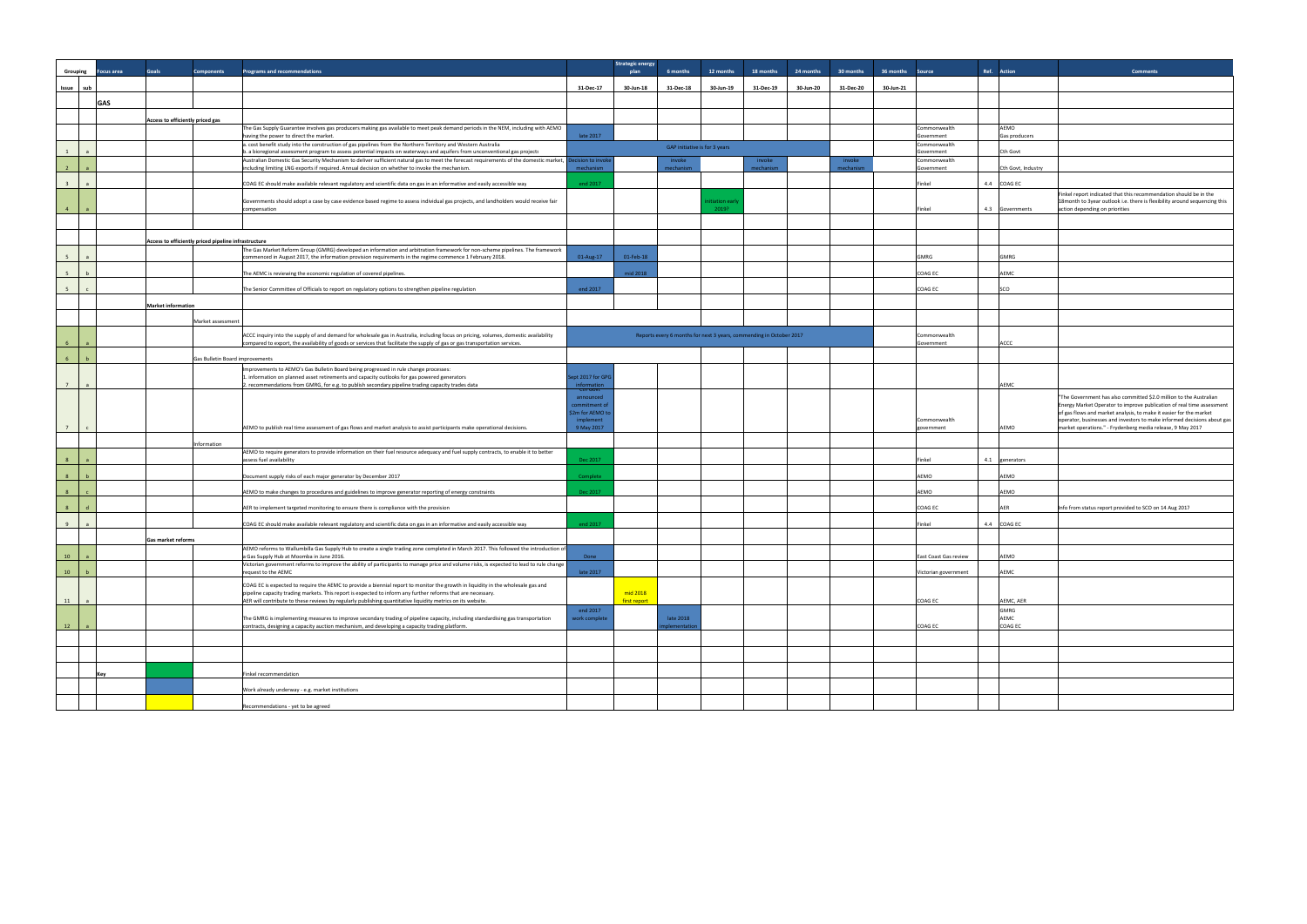| Ref. Action<br>Grouping<br>cus area<br><b>Goals</b><br><b>Components</b><br><b>Programs and recommendations</b><br>plan<br>6 months<br>12 months<br>18 months<br>24 months<br>30 months<br>36 months<br>Source<br>31-Dec-18<br>30-Jun-19<br>31-Dec-19<br>30-Jun-20<br>31-Dec-20<br>30-Jun-21<br>Issue sub<br>31-Dec-17<br>30-Jun-18<br>GAS<br>Access to efficiently priced gas<br>The Gas Supply Guarantee involves gas producers making gas available to meet peak demand periods in the NEM, including with AEMO<br>AEMO<br>Commonwealth<br>having the power to direct the market.<br>late 2017<br>Gas producers<br>Government<br>a. cost benefit study into the construction of gas pipelines from the Northern Territory and Western Australia<br>Commonwealth<br>GAP initiative is for 3 years<br>1<br>b. a bioregional assessment program to assess potential impacts on waterways and aquifers from unconventional gas projects<br>Cth Govt<br>$\overline{a}$<br>Government<br>Australian Domestic Gas Security Mechanism to deliver sufficient natural gas to meet the forecast requirements of the domestic market, Decision to invol<br>invoke<br>invoke<br>invoke<br>Commonwealth<br>2<br>including limiting LNG exports if required. Annual decision on whether to invoke the mechanism.<br>mechanism<br>mechanism<br>mechanism<br>mechanism<br>Cth Govt, Industry<br>Government<br>3 <sup>1</sup><br>COAG EC should make available relevant regulatory and scientific data on gas in an informative and easily accessible way<br>end 2017<br>Finkel<br>4.4 COAG EC<br>$\overline{a}$<br>Governments should adopt a case by case evidence based regime to assess individual gas projects, and landholders would receive fair<br>itiation earl<br>$4 -$<br>2019?<br>4.3 Governments<br>action depending on priorities<br>compensation<br>Finkel<br>a<br>Access to efficiently priced pipeline infrastructure<br>The Gas Market Reform Group (GMRG) developed an information and arbitration framework for non-scheme pipelines. The framework<br>5 <sup>5</sup><br>commenced in August 2017, the information provision requirements in the regime commence 1 February 2018.<br>01-Aug-17<br>01-Feb-18<br><b>GMRG</b><br>GMRG<br>$\overline{a}$<br>mid 2018<br>AEMC<br>5 <sup>7</sup><br>h<br>The AEMC is reviewing the economic regulation of covered pipelines.<br>COAG EC<br>The Senior Committee of Officials to report on regulatory options to strengthen pipeline regulation<br>end 2017<br>COAG EC<br>SCO<br>5 <sup>7</sup><br>$\mathbf{c}$<br><b>Market information</b><br>Market assessment<br>ACCC inquiry into the supply of and demand for wholesale gas in Australia, including focus on pricing, volumes, domestic availability<br>Reports every 6 months for next 3 years, commending in October 2017<br>Commonwealth<br>compared to export, the availability of goods or services that facilitate the supply of gas or gas transportation services.<br>ACCC<br>-6<br>Government<br>6 <sup>1</sup><br>Gas Bulletin Board improvements<br>h<br>Improvements to AEMO's Gas Bulletin Board being progressed in rule change processes:<br>ept 2017 for GP<br>1. information on planned asset retirements and capacity outlooks for gas powered generators<br>2. recommendations from GMRG, for e.g. to publish secondary pipeline trading capacity trades data<br>information<br>AEMC<br>7<br>$\overline{a}$<br><b>Cth Govt</b><br>announced<br>commitment o<br>2m for AEMO to<br>implement<br>Commonwealth<br>7<br>AEMO<br>AEMO to publish real time assessment of gas flows and market analysis to assist participants make operational decisions.<br>9 May 2017<br>government<br>Information<br>AEMO to require generators to provide information on their fuel resource adequacy and fuel supply contracts, to enable it to better<br>assess fuel availability<br>8 <sup>2</sup><br>Dec 2017<br>Finkel<br>4.1 generators<br>Document supply risks of each major generator by December 2017<br>AEMO<br>AEMO<br>8 <sup>2</sup><br><b>Complete</b><br>b<br>Dec 2017<br>AEMO<br>AEMO to make changes to procedures and guidelines to improve generator reporting of energy constraints<br>AEMO<br>8 <sup>2</sup><br>AER to implement targeted monitoring to ensure there is compliance with the provision<br>COAG EC<br>AER<br>8 <sup>2</sup><br>end 2017<br>4.4 COAG EC<br>9<br>COAG EC should make available relevant regulatory and scientific data on gas in an informative and easily accessible way<br>Finkel<br>a<br><b>Gas market reforms</b><br>AEMO reforms to Wallumbilla Gas Supply Hub to create a single trading zone completed in March 2017. This followed the introduction<br>10<br>a Gas Supply Hub at Moomba in June 2016.<br>East Coast Gas review<br>AEMO<br>Done<br>Victorian government reforms to improve the ability of participants to manage price and volume risks, is expected to lead to rule change<br>10<br>late 2017<br>AEMC<br>b<br>request to the AEMC<br>Victorian government<br>COAG EC is expected to require the AEMC to provide a biennial report to monitor the growth in liquidity in the wholesale gas and<br>mid 2018<br>pipeline capacity trading markets. This report is expected to inform any further reforms that are necessary.<br>11<br>AER will contribute to these reviews by regularly publishing quantitative liquidity metrics on its website.<br>first report<br>COAG EC<br>AEMC, AER<br>$\overline{a}$<br>end 2017<br><b>GMRG</b><br>AEMC<br>The GMRG is implementing measures to improve secondary trading of pipeline capacity, including standardising gas transportation<br>work complete<br>late 2018<br><b>COAG EC</b><br>12<br>contracts, designing a capacity auction mechanism, and developing a capacity trading platform.<br>COAG EC<br><b>Iementati</b><br>a,<br>Finkel recommendation<br>Kev<br>Work already underway - e.g. market institutions |  |  |  | <b>Strategic energy</b> |  |  |  |  |                                                                                                                                             |
|-----------------------------------------------------------------------------------------------------------------------------------------------------------------------------------------------------------------------------------------------------------------------------------------------------------------------------------------------------------------------------------------------------------------------------------------------------------------------------------------------------------------------------------------------------------------------------------------------------------------------------------------------------------------------------------------------------------------------------------------------------------------------------------------------------------------------------------------------------------------------------------------------------------------------------------------------------------------------------------------------------------------------------------------------------------------------------------------------------------------------------------------------------------------------------------------------------------------------------------------------------------------------------------------------------------------------------------------------------------------------------------------------------------------------------------------------------------------------------------------------------------------------------------------------------------------------------------------------------------------------------------------------------------------------------------------------------------------------------------------------------------------------------------------------------------------------------------------------------------------------------------------------------------------------------------------------------------------------------------------------------------------------------------------------------------------------------------------------------------------------------------------------------------------------------------------------------------------------------------------------------------------------------------------------------------------------------------------------------------------------------------------------------------------------------------------------------------------------------------------------------------------------------------------------------------------------------------------------------------------------------------------------------------------------------------------------------------------------------------------------------------------------------------------------------------------------------------------------------------------------------------------------------------------------------------------------------------------------------------------------------------------------------------------------------------------------------------------------------------------------------------------------------------------------------------------------------------------------------------------------------------------------------------------------------------------------------------------------------------------------------------------------------------------------------------------------------------------------------------------------------------------------------------------------------------------------------------------------------------------------------------------------------------------------------------------------------------------------------------------------------------------------------------------------------------------------------------------------------------------------------------------------------------------------------------------------------------------------------------------------------------------------------------------------------------------------------------------------------------------------------------------------------------------------------------------------------------------------------------------------------------------------------------------------------------------------------------------------------------------------------------------------------------------------------------------------------------------------------------------------------------------------------------------------------------------------------------------------------------------------------------------------------------------------------------------------------------------------------------------------------------------------------------------------------------------------------------------------------------------------------------------------------------------------------------------------------------------------------------------------------------------------------------------------------------------------------------------------------------------------------------------------------------------------------------------------------------------------------------------------------------------------------------------------------------------------------------------------------------------------------------------------------------------------------------------------------------------------------------------------------------------------------------------------------------------------------------------------------------------------------------------------------------------------------------------------------------------------------------------------------------------------------------------------------------------------------------------------------------------------------------------------------------------------------------------------|--|--|--|-------------------------|--|--|--|--|---------------------------------------------------------------------------------------------------------------------------------------------|
|                                                                                                                                                                                                                                                                                                                                                                                                                                                                                                                                                                                                                                                                                                                                                                                                                                                                                                                                                                                                                                                                                                                                                                                                                                                                                                                                                                                                                                                                                                                                                                                                                                                                                                                                                                                                                                                                                                                                                                                                                                                                                                                                                                                                                                                                                                                                                                                                                                                                                                                                                                                                                                                                                                                                                                                                                                                                                                                                                                                                                                                                                                                                                                                                                                                                                                                                                                                                                                                                                                                                                                                                                                                                                                                                                                                                                                                                                                                                                                                                                                                                                                                                                                                                                                                                                                                                                                                                                                                                                                                                                                                                                                                                                                                                                                                                                                                                                                                                                                                                                                                                                                                                                                                                                                                                                                                                                                                                                                                                                                                                                                                                                                                                                                                                                                                                                                                                                                                                               |  |  |  |                         |  |  |  |  |                                                                                                                                             |
|                                                                                                                                                                                                                                                                                                                                                                                                                                                                                                                                                                                                                                                                                                                                                                                                                                                                                                                                                                                                                                                                                                                                                                                                                                                                                                                                                                                                                                                                                                                                                                                                                                                                                                                                                                                                                                                                                                                                                                                                                                                                                                                                                                                                                                                                                                                                                                                                                                                                                                                                                                                                                                                                                                                                                                                                                                                                                                                                                                                                                                                                                                                                                                                                                                                                                                                                                                                                                                                                                                                                                                                                                                                                                                                                                                                                                                                                                                                                                                                                                                                                                                                                                                                                                                                                                                                                                                                                                                                                                                                                                                                                                                                                                                                                                                                                                                                                                                                                                                                                                                                                                                                                                                                                                                                                                                                                                                                                                                                                                                                                                                                                                                                                                                                                                                                                                                                                                                                                               |  |  |  |                         |  |  |  |  |                                                                                                                                             |
|                                                                                                                                                                                                                                                                                                                                                                                                                                                                                                                                                                                                                                                                                                                                                                                                                                                                                                                                                                                                                                                                                                                                                                                                                                                                                                                                                                                                                                                                                                                                                                                                                                                                                                                                                                                                                                                                                                                                                                                                                                                                                                                                                                                                                                                                                                                                                                                                                                                                                                                                                                                                                                                                                                                                                                                                                                                                                                                                                                                                                                                                                                                                                                                                                                                                                                                                                                                                                                                                                                                                                                                                                                                                                                                                                                                                                                                                                                                                                                                                                                                                                                                                                                                                                                                                                                                                                                                                                                                                                                                                                                                                                                                                                                                                                                                                                                                                                                                                                                                                                                                                                                                                                                                                                                                                                                                                                                                                                                                                                                                                                                                                                                                                                                                                                                                                                                                                                                                                               |  |  |  |                         |  |  |  |  |                                                                                                                                             |
|                                                                                                                                                                                                                                                                                                                                                                                                                                                                                                                                                                                                                                                                                                                                                                                                                                                                                                                                                                                                                                                                                                                                                                                                                                                                                                                                                                                                                                                                                                                                                                                                                                                                                                                                                                                                                                                                                                                                                                                                                                                                                                                                                                                                                                                                                                                                                                                                                                                                                                                                                                                                                                                                                                                                                                                                                                                                                                                                                                                                                                                                                                                                                                                                                                                                                                                                                                                                                                                                                                                                                                                                                                                                                                                                                                                                                                                                                                                                                                                                                                                                                                                                                                                                                                                                                                                                                                                                                                                                                                                                                                                                                                                                                                                                                                                                                                                                                                                                                                                                                                                                                                                                                                                                                                                                                                                                                                                                                                                                                                                                                                                                                                                                                                                                                                                                                                                                                                                                               |  |  |  |                         |  |  |  |  |                                                                                                                                             |
|                                                                                                                                                                                                                                                                                                                                                                                                                                                                                                                                                                                                                                                                                                                                                                                                                                                                                                                                                                                                                                                                                                                                                                                                                                                                                                                                                                                                                                                                                                                                                                                                                                                                                                                                                                                                                                                                                                                                                                                                                                                                                                                                                                                                                                                                                                                                                                                                                                                                                                                                                                                                                                                                                                                                                                                                                                                                                                                                                                                                                                                                                                                                                                                                                                                                                                                                                                                                                                                                                                                                                                                                                                                                                                                                                                                                                                                                                                                                                                                                                                                                                                                                                                                                                                                                                                                                                                                                                                                                                                                                                                                                                                                                                                                                                                                                                                                                                                                                                                                                                                                                                                                                                                                                                                                                                                                                                                                                                                                                                                                                                                                                                                                                                                                                                                                                                                                                                                                                               |  |  |  |                         |  |  |  |  |                                                                                                                                             |
|                                                                                                                                                                                                                                                                                                                                                                                                                                                                                                                                                                                                                                                                                                                                                                                                                                                                                                                                                                                                                                                                                                                                                                                                                                                                                                                                                                                                                                                                                                                                                                                                                                                                                                                                                                                                                                                                                                                                                                                                                                                                                                                                                                                                                                                                                                                                                                                                                                                                                                                                                                                                                                                                                                                                                                                                                                                                                                                                                                                                                                                                                                                                                                                                                                                                                                                                                                                                                                                                                                                                                                                                                                                                                                                                                                                                                                                                                                                                                                                                                                                                                                                                                                                                                                                                                                                                                                                                                                                                                                                                                                                                                                                                                                                                                                                                                                                                                                                                                                                                                                                                                                                                                                                                                                                                                                                                                                                                                                                                                                                                                                                                                                                                                                                                                                                                                                                                                                                                               |  |  |  |                         |  |  |  |  |                                                                                                                                             |
|                                                                                                                                                                                                                                                                                                                                                                                                                                                                                                                                                                                                                                                                                                                                                                                                                                                                                                                                                                                                                                                                                                                                                                                                                                                                                                                                                                                                                                                                                                                                                                                                                                                                                                                                                                                                                                                                                                                                                                                                                                                                                                                                                                                                                                                                                                                                                                                                                                                                                                                                                                                                                                                                                                                                                                                                                                                                                                                                                                                                                                                                                                                                                                                                                                                                                                                                                                                                                                                                                                                                                                                                                                                                                                                                                                                                                                                                                                                                                                                                                                                                                                                                                                                                                                                                                                                                                                                                                                                                                                                                                                                                                                                                                                                                                                                                                                                                                                                                                                                                                                                                                                                                                                                                                                                                                                                                                                                                                                                                                                                                                                                                                                                                                                                                                                                                                                                                                                                                               |  |  |  |                         |  |  |  |  |                                                                                                                                             |
|                                                                                                                                                                                                                                                                                                                                                                                                                                                                                                                                                                                                                                                                                                                                                                                                                                                                                                                                                                                                                                                                                                                                                                                                                                                                                                                                                                                                                                                                                                                                                                                                                                                                                                                                                                                                                                                                                                                                                                                                                                                                                                                                                                                                                                                                                                                                                                                                                                                                                                                                                                                                                                                                                                                                                                                                                                                                                                                                                                                                                                                                                                                                                                                                                                                                                                                                                                                                                                                                                                                                                                                                                                                                                                                                                                                                                                                                                                                                                                                                                                                                                                                                                                                                                                                                                                                                                                                                                                                                                                                                                                                                                                                                                                                                                                                                                                                                                                                                                                                                                                                                                                                                                                                                                                                                                                                                                                                                                                                                                                                                                                                                                                                                                                                                                                                                                                                                                                                                               |  |  |  |                         |  |  |  |  |                                                                                                                                             |
|                                                                                                                                                                                                                                                                                                                                                                                                                                                                                                                                                                                                                                                                                                                                                                                                                                                                                                                                                                                                                                                                                                                                                                                                                                                                                                                                                                                                                                                                                                                                                                                                                                                                                                                                                                                                                                                                                                                                                                                                                                                                                                                                                                                                                                                                                                                                                                                                                                                                                                                                                                                                                                                                                                                                                                                                                                                                                                                                                                                                                                                                                                                                                                                                                                                                                                                                                                                                                                                                                                                                                                                                                                                                                                                                                                                                                                                                                                                                                                                                                                                                                                                                                                                                                                                                                                                                                                                                                                                                                                                                                                                                                                                                                                                                                                                                                                                                                                                                                                                                                                                                                                                                                                                                                                                                                                                                                                                                                                                                                                                                                                                                                                                                                                                                                                                                                                                                                                                                               |  |  |  |                         |  |  |  |  |                                                                                                                                             |
|                                                                                                                                                                                                                                                                                                                                                                                                                                                                                                                                                                                                                                                                                                                                                                                                                                                                                                                                                                                                                                                                                                                                                                                                                                                                                                                                                                                                                                                                                                                                                                                                                                                                                                                                                                                                                                                                                                                                                                                                                                                                                                                                                                                                                                                                                                                                                                                                                                                                                                                                                                                                                                                                                                                                                                                                                                                                                                                                                                                                                                                                                                                                                                                                                                                                                                                                                                                                                                                                                                                                                                                                                                                                                                                                                                                                                                                                                                                                                                                                                                                                                                                                                                                                                                                                                                                                                                                                                                                                                                                                                                                                                                                                                                                                                                                                                                                                                                                                                                                                                                                                                                                                                                                                                                                                                                                                                                                                                                                                                                                                                                                                                                                                                                                                                                                                                                                                                                                                               |  |  |  |                         |  |  |  |  | Finkel report indicated that this recommendation should be in the                                                                           |
|                                                                                                                                                                                                                                                                                                                                                                                                                                                                                                                                                                                                                                                                                                                                                                                                                                                                                                                                                                                                                                                                                                                                                                                                                                                                                                                                                                                                                                                                                                                                                                                                                                                                                                                                                                                                                                                                                                                                                                                                                                                                                                                                                                                                                                                                                                                                                                                                                                                                                                                                                                                                                                                                                                                                                                                                                                                                                                                                                                                                                                                                                                                                                                                                                                                                                                                                                                                                                                                                                                                                                                                                                                                                                                                                                                                                                                                                                                                                                                                                                                                                                                                                                                                                                                                                                                                                                                                                                                                                                                                                                                                                                                                                                                                                                                                                                                                                                                                                                                                                                                                                                                                                                                                                                                                                                                                                                                                                                                                                                                                                                                                                                                                                                                                                                                                                                                                                                                                                               |  |  |  |                         |  |  |  |  | 18month to 3year outlook i.e. there is flexibility around sequencing this                                                                   |
|                                                                                                                                                                                                                                                                                                                                                                                                                                                                                                                                                                                                                                                                                                                                                                                                                                                                                                                                                                                                                                                                                                                                                                                                                                                                                                                                                                                                                                                                                                                                                                                                                                                                                                                                                                                                                                                                                                                                                                                                                                                                                                                                                                                                                                                                                                                                                                                                                                                                                                                                                                                                                                                                                                                                                                                                                                                                                                                                                                                                                                                                                                                                                                                                                                                                                                                                                                                                                                                                                                                                                                                                                                                                                                                                                                                                                                                                                                                                                                                                                                                                                                                                                                                                                                                                                                                                                                                                                                                                                                                                                                                                                                                                                                                                                                                                                                                                                                                                                                                                                                                                                                                                                                                                                                                                                                                                                                                                                                                                                                                                                                                                                                                                                                                                                                                                                                                                                                                                               |  |  |  |                         |  |  |  |  |                                                                                                                                             |
|                                                                                                                                                                                                                                                                                                                                                                                                                                                                                                                                                                                                                                                                                                                                                                                                                                                                                                                                                                                                                                                                                                                                                                                                                                                                                                                                                                                                                                                                                                                                                                                                                                                                                                                                                                                                                                                                                                                                                                                                                                                                                                                                                                                                                                                                                                                                                                                                                                                                                                                                                                                                                                                                                                                                                                                                                                                                                                                                                                                                                                                                                                                                                                                                                                                                                                                                                                                                                                                                                                                                                                                                                                                                                                                                                                                                                                                                                                                                                                                                                                                                                                                                                                                                                                                                                                                                                                                                                                                                                                                                                                                                                                                                                                                                                                                                                                                                                                                                                                                                                                                                                                                                                                                                                                                                                                                                                                                                                                                                                                                                                                                                                                                                                                                                                                                                                                                                                                                                               |  |  |  |                         |  |  |  |  |                                                                                                                                             |
|                                                                                                                                                                                                                                                                                                                                                                                                                                                                                                                                                                                                                                                                                                                                                                                                                                                                                                                                                                                                                                                                                                                                                                                                                                                                                                                                                                                                                                                                                                                                                                                                                                                                                                                                                                                                                                                                                                                                                                                                                                                                                                                                                                                                                                                                                                                                                                                                                                                                                                                                                                                                                                                                                                                                                                                                                                                                                                                                                                                                                                                                                                                                                                                                                                                                                                                                                                                                                                                                                                                                                                                                                                                                                                                                                                                                                                                                                                                                                                                                                                                                                                                                                                                                                                                                                                                                                                                                                                                                                                                                                                                                                                                                                                                                                                                                                                                                                                                                                                                                                                                                                                                                                                                                                                                                                                                                                                                                                                                                                                                                                                                                                                                                                                                                                                                                                                                                                                                                               |  |  |  |                         |  |  |  |  |                                                                                                                                             |
|                                                                                                                                                                                                                                                                                                                                                                                                                                                                                                                                                                                                                                                                                                                                                                                                                                                                                                                                                                                                                                                                                                                                                                                                                                                                                                                                                                                                                                                                                                                                                                                                                                                                                                                                                                                                                                                                                                                                                                                                                                                                                                                                                                                                                                                                                                                                                                                                                                                                                                                                                                                                                                                                                                                                                                                                                                                                                                                                                                                                                                                                                                                                                                                                                                                                                                                                                                                                                                                                                                                                                                                                                                                                                                                                                                                                                                                                                                                                                                                                                                                                                                                                                                                                                                                                                                                                                                                                                                                                                                                                                                                                                                                                                                                                                                                                                                                                                                                                                                                                                                                                                                                                                                                                                                                                                                                                                                                                                                                                                                                                                                                                                                                                                                                                                                                                                                                                                                                                               |  |  |  |                         |  |  |  |  |                                                                                                                                             |
|                                                                                                                                                                                                                                                                                                                                                                                                                                                                                                                                                                                                                                                                                                                                                                                                                                                                                                                                                                                                                                                                                                                                                                                                                                                                                                                                                                                                                                                                                                                                                                                                                                                                                                                                                                                                                                                                                                                                                                                                                                                                                                                                                                                                                                                                                                                                                                                                                                                                                                                                                                                                                                                                                                                                                                                                                                                                                                                                                                                                                                                                                                                                                                                                                                                                                                                                                                                                                                                                                                                                                                                                                                                                                                                                                                                                                                                                                                                                                                                                                                                                                                                                                                                                                                                                                                                                                                                                                                                                                                                                                                                                                                                                                                                                                                                                                                                                                                                                                                                                                                                                                                                                                                                                                                                                                                                                                                                                                                                                                                                                                                                                                                                                                                                                                                                                                                                                                                                                               |  |  |  |                         |  |  |  |  |                                                                                                                                             |
|                                                                                                                                                                                                                                                                                                                                                                                                                                                                                                                                                                                                                                                                                                                                                                                                                                                                                                                                                                                                                                                                                                                                                                                                                                                                                                                                                                                                                                                                                                                                                                                                                                                                                                                                                                                                                                                                                                                                                                                                                                                                                                                                                                                                                                                                                                                                                                                                                                                                                                                                                                                                                                                                                                                                                                                                                                                                                                                                                                                                                                                                                                                                                                                                                                                                                                                                                                                                                                                                                                                                                                                                                                                                                                                                                                                                                                                                                                                                                                                                                                                                                                                                                                                                                                                                                                                                                                                                                                                                                                                                                                                                                                                                                                                                                                                                                                                                                                                                                                                                                                                                                                                                                                                                                                                                                                                                                                                                                                                                                                                                                                                                                                                                                                                                                                                                                                                                                                                                               |  |  |  |                         |  |  |  |  |                                                                                                                                             |
|                                                                                                                                                                                                                                                                                                                                                                                                                                                                                                                                                                                                                                                                                                                                                                                                                                                                                                                                                                                                                                                                                                                                                                                                                                                                                                                                                                                                                                                                                                                                                                                                                                                                                                                                                                                                                                                                                                                                                                                                                                                                                                                                                                                                                                                                                                                                                                                                                                                                                                                                                                                                                                                                                                                                                                                                                                                                                                                                                                                                                                                                                                                                                                                                                                                                                                                                                                                                                                                                                                                                                                                                                                                                                                                                                                                                                                                                                                                                                                                                                                                                                                                                                                                                                                                                                                                                                                                                                                                                                                                                                                                                                                                                                                                                                                                                                                                                                                                                                                                                                                                                                                                                                                                                                                                                                                                                                                                                                                                                                                                                                                                                                                                                                                                                                                                                                                                                                                                                               |  |  |  |                         |  |  |  |  |                                                                                                                                             |
|                                                                                                                                                                                                                                                                                                                                                                                                                                                                                                                                                                                                                                                                                                                                                                                                                                                                                                                                                                                                                                                                                                                                                                                                                                                                                                                                                                                                                                                                                                                                                                                                                                                                                                                                                                                                                                                                                                                                                                                                                                                                                                                                                                                                                                                                                                                                                                                                                                                                                                                                                                                                                                                                                                                                                                                                                                                                                                                                                                                                                                                                                                                                                                                                                                                                                                                                                                                                                                                                                                                                                                                                                                                                                                                                                                                                                                                                                                                                                                                                                                                                                                                                                                                                                                                                                                                                                                                                                                                                                                                                                                                                                                                                                                                                                                                                                                                                                                                                                                                                                                                                                                                                                                                                                                                                                                                                                                                                                                                                                                                                                                                                                                                                                                                                                                                                                                                                                                                                               |  |  |  |                         |  |  |  |  |                                                                                                                                             |
|                                                                                                                                                                                                                                                                                                                                                                                                                                                                                                                                                                                                                                                                                                                                                                                                                                                                                                                                                                                                                                                                                                                                                                                                                                                                                                                                                                                                                                                                                                                                                                                                                                                                                                                                                                                                                                                                                                                                                                                                                                                                                                                                                                                                                                                                                                                                                                                                                                                                                                                                                                                                                                                                                                                                                                                                                                                                                                                                                                                                                                                                                                                                                                                                                                                                                                                                                                                                                                                                                                                                                                                                                                                                                                                                                                                                                                                                                                                                                                                                                                                                                                                                                                                                                                                                                                                                                                                                                                                                                                                                                                                                                                                                                                                                                                                                                                                                                                                                                                                                                                                                                                                                                                                                                                                                                                                                                                                                                                                                                                                                                                                                                                                                                                                                                                                                                                                                                                                                               |  |  |  |                         |  |  |  |  |                                                                                                                                             |
|                                                                                                                                                                                                                                                                                                                                                                                                                                                                                                                                                                                                                                                                                                                                                                                                                                                                                                                                                                                                                                                                                                                                                                                                                                                                                                                                                                                                                                                                                                                                                                                                                                                                                                                                                                                                                                                                                                                                                                                                                                                                                                                                                                                                                                                                                                                                                                                                                                                                                                                                                                                                                                                                                                                                                                                                                                                                                                                                                                                                                                                                                                                                                                                                                                                                                                                                                                                                                                                                                                                                                                                                                                                                                                                                                                                                                                                                                                                                                                                                                                                                                                                                                                                                                                                                                                                                                                                                                                                                                                                                                                                                                                                                                                                                                                                                                                                                                                                                                                                                                                                                                                                                                                                                                                                                                                                                                                                                                                                                                                                                                                                                                                                                                                                                                                                                                                                                                                                                               |  |  |  |                         |  |  |  |  |                                                                                                                                             |
|                                                                                                                                                                                                                                                                                                                                                                                                                                                                                                                                                                                                                                                                                                                                                                                                                                                                                                                                                                                                                                                                                                                                                                                                                                                                                                                                                                                                                                                                                                                                                                                                                                                                                                                                                                                                                                                                                                                                                                                                                                                                                                                                                                                                                                                                                                                                                                                                                                                                                                                                                                                                                                                                                                                                                                                                                                                                                                                                                                                                                                                                                                                                                                                                                                                                                                                                                                                                                                                                                                                                                                                                                                                                                                                                                                                                                                                                                                                                                                                                                                                                                                                                                                                                                                                                                                                                                                                                                                                                                                                                                                                                                                                                                                                                                                                                                                                                                                                                                                                                                                                                                                                                                                                                                                                                                                                                                                                                                                                                                                                                                                                                                                                                                                                                                                                                                                                                                                                                               |  |  |  |                         |  |  |  |  |                                                                                                                                             |
|                                                                                                                                                                                                                                                                                                                                                                                                                                                                                                                                                                                                                                                                                                                                                                                                                                                                                                                                                                                                                                                                                                                                                                                                                                                                                                                                                                                                                                                                                                                                                                                                                                                                                                                                                                                                                                                                                                                                                                                                                                                                                                                                                                                                                                                                                                                                                                                                                                                                                                                                                                                                                                                                                                                                                                                                                                                                                                                                                                                                                                                                                                                                                                                                                                                                                                                                                                                                                                                                                                                                                                                                                                                                                                                                                                                                                                                                                                                                                                                                                                                                                                                                                                                                                                                                                                                                                                                                                                                                                                                                                                                                                                                                                                                                                                                                                                                                                                                                                                                                                                                                                                                                                                                                                                                                                                                                                                                                                                                                                                                                                                                                                                                                                                                                                                                                                                                                                                                                               |  |  |  |                         |  |  |  |  |                                                                                                                                             |
|                                                                                                                                                                                                                                                                                                                                                                                                                                                                                                                                                                                                                                                                                                                                                                                                                                                                                                                                                                                                                                                                                                                                                                                                                                                                                                                                                                                                                                                                                                                                                                                                                                                                                                                                                                                                                                                                                                                                                                                                                                                                                                                                                                                                                                                                                                                                                                                                                                                                                                                                                                                                                                                                                                                                                                                                                                                                                                                                                                                                                                                                                                                                                                                                                                                                                                                                                                                                                                                                                                                                                                                                                                                                                                                                                                                                                                                                                                                                                                                                                                                                                                                                                                                                                                                                                                                                                                                                                                                                                                                                                                                                                                                                                                                                                                                                                                                                                                                                                                                                                                                                                                                                                                                                                                                                                                                                                                                                                                                                                                                                                                                                                                                                                                                                                                                                                                                                                                                                               |  |  |  |                         |  |  |  |  |                                                                                                                                             |
|                                                                                                                                                                                                                                                                                                                                                                                                                                                                                                                                                                                                                                                                                                                                                                                                                                                                                                                                                                                                                                                                                                                                                                                                                                                                                                                                                                                                                                                                                                                                                                                                                                                                                                                                                                                                                                                                                                                                                                                                                                                                                                                                                                                                                                                                                                                                                                                                                                                                                                                                                                                                                                                                                                                                                                                                                                                                                                                                                                                                                                                                                                                                                                                                                                                                                                                                                                                                                                                                                                                                                                                                                                                                                                                                                                                                                                                                                                                                                                                                                                                                                                                                                                                                                                                                                                                                                                                                                                                                                                                                                                                                                                                                                                                                                                                                                                                                                                                                                                                                                                                                                                                                                                                                                                                                                                                                                                                                                                                                                                                                                                                                                                                                                                                                                                                                                                                                                                                                               |  |  |  |                         |  |  |  |  | "The Government has also committed \$2.0 million to the Australian                                                                          |
|                                                                                                                                                                                                                                                                                                                                                                                                                                                                                                                                                                                                                                                                                                                                                                                                                                                                                                                                                                                                                                                                                                                                                                                                                                                                                                                                                                                                                                                                                                                                                                                                                                                                                                                                                                                                                                                                                                                                                                                                                                                                                                                                                                                                                                                                                                                                                                                                                                                                                                                                                                                                                                                                                                                                                                                                                                                                                                                                                                                                                                                                                                                                                                                                                                                                                                                                                                                                                                                                                                                                                                                                                                                                                                                                                                                                                                                                                                                                                                                                                                                                                                                                                                                                                                                                                                                                                                                                                                                                                                                                                                                                                                                                                                                                                                                                                                                                                                                                                                                                                                                                                                                                                                                                                                                                                                                                                                                                                                                                                                                                                                                                                                                                                                                                                                                                                                                                                                                                               |  |  |  |                         |  |  |  |  | Energy Market Operator to improve publication of real time assessment<br>of gas flows and market analysis, to make it easier for the market |
|                                                                                                                                                                                                                                                                                                                                                                                                                                                                                                                                                                                                                                                                                                                                                                                                                                                                                                                                                                                                                                                                                                                                                                                                                                                                                                                                                                                                                                                                                                                                                                                                                                                                                                                                                                                                                                                                                                                                                                                                                                                                                                                                                                                                                                                                                                                                                                                                                                                                                                                                                                                                                                                                                                                                                                                                                                                                                                                                                                                                                                                                                                                                                                                                                                                                                                                                                                                                                                                                                                                                                                                                                                                                                                                                                                                                                                                                                                                                                                                                                                                                                                                                                                                                                                                                                                                                                                                                                                                                                                                                                                                                                                                                                                                                                                                                                                                                                                                                                                                                                                                                                                                                                                                                                                                                                                                                                                                                                                                                                                                                                                                                                                                                                                                                                                                                                                                                                                                                               |  |  |  |                         |  |  |  |  | operator, businesses and investors to make informed decisions about gas                                                                     |
|                                                                                                                                                                                                                                                                                                                                                                                                                                                                                                                                                                                                                                                                                                                                                                                                                                                                                                                                                                                                                                                                                                                                                                                                                                                                                                                                                                                                                                                                                                                                                                                                                                                                                                                                                                                                                                                                                                                                                                                                                                                                                                                                                                                                                                                                                                                                                                                                                                                                                                                                                                                                                                                                                                                                                                                                                                                                                                                                                                                                                                                                                                                                                                                                                                                                                                                                                                                                                                                                                                                                                                                                                                                                                                                                                                                                                                                                                                                                                                                                                                                                                                                                                                                                                                                                                                                                                                                                                                                                                                                                                                                                                                                                                                                                                                                                                                                                                                                                                                                                                                                                                                                                                                                                                                                                                                                                                                                                                                                                                                                                                                                                                                                                                                                                                                                                                                                                                                                                               |  |  |  |                         |  |  |  |  | market operations." - Frydenberg media release, 9 May 2017                                                                                  |
|                                                                                                                                                                                                                                                                                                                                                                                                                                                                                                                                                                                                                                                                                                                                                                                                                                                                                                                                                                                                                                                                                                                                                                                                                                                                                                                                                                                                                                                                                                                                                                                                                                                                                                                                                                                                                                                                                                                                                                                                                                                                                                                                                                                                                                                                                                                                                                                                                                                                                                                                                                                                                                                                                                                                                                                                                                                                                                                                                                                                                                                                                                                                                                                                                                                                                                                                                                                                                                                                                                                                                                                                                                                                                                                                                                                                                                                                                                                                                                                                                                                                                                                                                                                                                                                                                                                                                                                                                                                                                                                                                                                                                                                                                                                                                                                                                                                                                                                                                                                                                                                                                                                                                                                                                                                                                                                                                                                                                                                                                                                                                                                                                                                                                                                                                                                                                                                                                                                                               |  |  |  |                         |  |  |  |  |                                                                                                                                             |
|                                                                                                                                                                                                                                                                                                                                                                                                                                                                                                                                                                                                                                                                                                                                                                                                                                                                                                                                                                                                                                                                                                                                                                                                                                                                                                                                                                                                                                                                                                                                                                                                                                                                                                                                                                                                                                                                                                                                                                                                                                                                                                                                                                                                                                                                                                                                                                                                                                                                                                                                                                                                                                                                                                                                                                                                                                                                                                                                                                                                                                                                                                                                                                                                                                                                                                                                                                                                                                                                                                                                                                                                                                                                                                                                                                                                                                                                                                                                                                                                                                                                                                                                                                                                                                                                                                                                                                                                                                                                                                                                                                                                                                                                                                                                                                                                                                                                                                                                                                                                                                                                                                                                                                                                                                                                                                                                                                                                                                                                                                                                                                                                                                                                                                                                                                                                                                                                                                                                               |  |  |  |                         |  |  |  |  |                                                                                                                                             |
|                                                                                                                                                                                                                                                                                                                                                                                                                                                                                                                                                                                                                                                                                                                                                                                                                                                                                                                                                                                                                                                                                                                                                                                                                                                                                                                                                                                                                                                                                                                                                                                                                                                                                                                                                                                                                                                                                                                                                                                                                                                                                                                                                                                                                                                                                                                                                                                                                                                                                                                                                                                                                                                                                                                                                                                                                                                                                                                                                                                                                                                                                                                                                                                                                                                                                                                                                                                                                                                                                                                                                                                                                                                                                                                                                                                                                                                                                                                                                                                                                                                                                                                                                                                                                                                                                                                                                                                                                                                                                                                                                                                                                                                                                                                                                                                                                                                                                                                                                                                                                                                                                                                                                                                                                                                                                                                                                                                                                                                                                                                                                                                                                                                                                                                                                                                                                                                                                                                                               |  |  |  |                         |  |  |  |  |                                                                                                                                             |
|                                                                                                                                                                                                                                                                                                                                                                                                                                                                                                                                                                                                                                                                                                                                                                                                                                                                                                                                                                                                                                                                                                                                                                                                                                                                                                                                                                                                                                                                                                                                                                                                                                                                                                                                                                                                                                                                                                                                                                                                                                                                                                                                                                                                                                                                                                                                                                                                                                                                                                                                                                                                                                                                                                                                                                                                                                                                                                                                                                                                                                                                                                                                                                                                                                                                                                                                                                                                                                                                                                                                                                                                                                                                                                                                                                                                                                                                                                                                                                                                                                                                                                                                                                                                                                                                                                                                                                                                                                                                                                                                                                                                                                                                                                                                                                                                                                                                                                                                                                                                                                                                                                                                                                                                                                                                                                                                                                                                                                                                                                                                                                                                                                                                                                                                                                                                                                                                                                                                               |  |  |  |                         |  |  |  |  |                                                                                                                                             |
|                                                                                                                                                                                                                                                                                                                                                                                                                                                                                                                                                                                                                                                                                                                                                                                                                                                                                                                                                                                                                                                                                                                                                                                                                                                                                                                                                                                                                                                                                                                                                                                                                                                                                                                                                                                                                                                                                                                                                                                                                                                                                                                                                                                                                                                                                                                                                                                                                                                                                                                                                                                                                                                                                                                                                                                                                                                                                                                                                                                                                                                                                                                                                                                                                                                                                                                                                                                                                                                                                                                                                                                                                                                                                                                                                                                                                                                                                                                                                                                                                                                                                                                                                                                                                                                                                                                                                                                                                                                                                                                                                                                                                                                                                                                                                                                                                                                                                                                                                                                                                                                                                                                                                                                                                                                                                                                                                                                                                                                                                                                                                                                                                                                                                                                                                                                                                                                                                                                                               |  |  |  |                         |  |  |  |  |                                                                                                                                             |
|                                                                                                                                                                                                                                                                                                                                                                                                                                                                                                                                                                                                                                                                                                                                                                                                                                                                                                                                                                                                                                                                                                                                                                                                                                                                                                                                                                                                                                                                                                                                                                                                                                                                                                                                                                                                                                                                                                                                                                                                                                                                                                                                                                                                                                                                                                                                                                                                                                                                                                                                                                                                                                                                                                                                                                                                                                                                                                                                                                                                                                                                                                                                                                                                                                                                                                                                                                                                                                                                                                                                                                                                                                                                                                                                                                                                                                                                                                                                                                                                                                                                                                                                                                                                                                                                                                                                                                                                                                                                                                                                                                                                                                                                                                                                                                                                                                                                                                                                                                                                                                                                                                                                                                                                                                                                                                                                                                                                                                                                                                                                                                                                                                                                                                                                                                                                                                                                                                                                               |  |  |  |                         |  |  |  |  | Info from status report provided to SCO on 14 Aug 2017                                                                                      |
|                                                                                                                                                                                                                                                                                                                                                                                                                                                                                                                                                                                                                                                                                                                                                                                                                                                                                                                                                                                                                                                                                                                                                                                                                                                                                                                                                                                                                                                                                                                                                                                                                                                                                                                                                                                                                                                                                                                                                                                                                                                                                                                                                                                                                                                                                                                                                                                                                                                                                                                                                                                                                                                                                                                                                                                                                                                                                                                                                                                                                                                                                                                                                                                                                                                                                                                                                                                                                                                                                                                                                                                                                                                                                                                                                                                                                                                                                                                                                                                                                                                                                                                                                                                                                                                                                                                                                                                                                                                                                                                                                                                                                                                                                                                                                                                                                                                                                                                                                                                                                                                                                                                                                                                                                                                                                                                                                                                                                                                                                                                                                                                                                                                                                                                                                                                                                                                                                                                                               |  |  |  |                         |  |  |  |  |                                                                                                                                             |
|                                                                                                                                                                                                                                                                                                                                                                                                                                                                                                                                                                                                                                                                                                                                                                                                                                                                                                                                                                                                                                                                                                                                                                                                                                                                                                                                                                                                                                                                                                                                                                                                                                                                                                                                                                                                                                                                                                                                                                                                                                                                                                                                                                                                                                                                                                                                                                                                                                                                                                                                                                                                                                                                                                                                                                                                                                                                                                                                                                                                                                                                                                                                                                                                                                                                                                                                                                                                                                                                                                                                                                                                                                                                                                                                                                                                                                                                                                                                                                                                                                                                                                                                                                                                                                                                                                                                                                                                                                                                                                                                                                                                                                                                                                                                                                                                                                                                                                                                                                                                                                                                                                                                                                                                                                                                                                                                                                                                                                                                                                                                                                                                                                                                                                                                                                                                                                                                                                                                               |  |  |  |                         |  |  |  |  |                                                                                                                                             |
|                                                                                                                                                                                                                                                                                                                                                                                                                                                                                                                                                                                                                                                                                                                                                                                                                                                                                                                                                                                                                                                                                                                                                                                                                                                                                                                                                                                                                                                                                                                                                                                                                                                                                                                                                                                                                                                                                                                                                                                                                                                                                                                                                                                                                                                                                                                                                                                                                                                                                                                                                                                                                                                                                                                                                                                                                                                                                                                                                                                                                                                                                                                                                                                                                                                                                                                                                                                                                                                                                                                                                                                                                                                                                                                                                                                                                                                                                                                                                                                                                                                                                                                                                                                                                                                                                                                                                                                                                                                                                                                                                                                                                                                                                                                                                                                                                                                                                                                                                                                                                                                                                                                                                                                                                                                                                                                                                                                                                                                                                                                                                                                                                                                                                                                                                                                                                                                                                                                                               |  |  |  |                         |  |  |  |  |                                                                                                                                             |
|                                                                                                                                                                                                                                                                                                                                                                                                                                                                                                                                                                                                                                                                                                                                                                                                                                                                                                                                                                                                                                                                                                                                                                                                                                                                                                                                                                                                                                                                                                                                                                                                                                                                                                                                                                                                                                                                                                                                                                                                                                                                                                                                                                                                                                                                                                                                                                                                                                                                                                                                                                                                                                                                                                                                                                                                                                                                                                                                                                                                                                                                                                                                                                                                                                                                                                                                                                                                                                                                                                                                                                                                                                                                                                                                                                                                                                                                                                                                                                                                                                                                                                                                                                                                                                                                                                                                                                                                                                                                                                                                                                                                                                                                                                                                                                                                                                                                                                                                                                                                                                                                                                                                                                                                                                                                                                                                                                                                                                                                                                                                                                                                                                                                                                                                                                                                                                                                                                                                               |  |  |  |                         |  |  |  |  |                                                                                                                                             |
|                                                                                                                                                                                                                                                                                                                                                                                                                                                                                                                                                                                                                                                                                                                                                                                                                                                                                                                                                                                                                                                                                                                                                                                                                                                                                                                                                                                                                                                                                                                                                                                                                                                                                                                                                                                                                                                                                                                                                                                                                                                                                                                                                                                                                                                                                                                                                                                                                                                                                                                                                                                                                                                                                                                                                                                                                                                                                                                                                                                                                                                                                                                                                                                                                                                                                                                                                                                                                                                                                                                                                                                                                                                                                                                                                                                                                                                                                                                                                                                                                                                                                                                                                                                                                                                                                                                                                                                                                                                                                                                                                                                                                                                                                                                                                                                                                                                                                                                                                                                                                                                                                                                                                                                                                                                                                                                                                                                                                                                                                                                                                                                                                                                                                                                                                                                                                                                                                                                                               |  |  |  |                         |  |  |  |  |                                                                                                                                             |
|                                                                                                                                                                                                                                                                                                                                                                                                                                                                                                                                                                                                                                                                                                                                                                                                                                                                                                                                                                                                                                                                                                                                                                                                                                                                                                                                                                                                                                                                                                                                                                                                                                                                                                                                                                                                                                                                                                                                                                                                                                                                                                                                                                                                                                                                                                                                                                                                                                                                                                                                                                                                                                                                                                                                                                                                                                                                                                                                                                                                                                                                                                                                                                                                                                                                                                                                                                                                                                                                                                                                                                                                                                                                                                                                                                                                                                                                                                                                                                                                                                                                                                                                                                                                                                                                                                                                                                                                                                                                                                                                                                                                                                                                                                                                                                                                                                                                                                                                                                                                                                                                                                                                                                                                                                                                                                                                                                                                                                                                                                                                                                                                                                                                                                                                                                                                                                                                                                                                               |  |  |  |                         |  |  |  |  |                                                                                                                                             |
|                                                                                                                                                                                                                                                                                                                                                                                                                                                                                                                                                                                                                                                                                                                                                                                                                                                                                                                                                                                                                                                                                                                                                                                                                                                                                                                                                                                                                                                                                                                                                                                                                                                                                                                                                                                                                                                                                                                                                                                                                                                                                                                                                                                                                                                                                                                                                                                                                                                                                                                                                                                                                                                                                                                                                                                                                                                                                                                                                                                                                                                                                                                                                                                                                                                                                                                                                                                                                                                                                                                                                                                                                                                                                                                                                                                                                                                                                                                                                                                                                                                                                                                                                                                                                                                                                                                                                                                                                                                                                                                                                                                                                                                                                                                                                                                                                                                                                                                                                                                                                                                                                                                                                                                                                                                                                                                                                                                                                                                                                                                                                                                                                                                                                                                                                                                                                                                                                                                                               |  |  |  |                         |  |  |  |  |                                                                                                                                             |
|                                                                                                                                                                                                                                                                                                                                                                                                                                                                                                                                                                                                                                                                                                                                                                                                                                                                                                                                                                                                                                                                                                                                                                                                                                                                                                                                                                                                                                                                                                                                                                                                                                                                                                                                                                                                                                                                                                                                                                                                                                                                                                                                                                                                                                                                                                                                                                                                                                                                                                                                                                                                                                                                                                                                                                                                                                                                                                                                                                                                                                                                                                                                                                                                                                                                                                                                                                                                                                                                                                                                                                                                                                                                                                                                                                                                                                                                                                                                                                                                                                                                                                                                                                                                                                                                                                                                                                                                                                                                                                                                                                                                                                                                                                                                                                                                                                                                                                                                                                                                                                                                                                                                                                                                                                                                                                                                                                                                                                                                                                                                                                                                                                                                                                                                                                                                                                                                                                                                               |  |  |  |                         |  |  |  |  |                                                                                                                                             |
|                                                                                                                                                                                                                                                                                                                                                                                                                                                                                                                                                                                                                                                                                                                                                                                                                                                                                                                                                                                                                                                                                                                                                                                                                                                                                                                                                                                                                                                                                                                                                                                                                                                                                                                                                                                                                                                                                                                                                                                                                                                                                                                                                                                                                                                                                                                                                                                                                                                                                                                                                                                                                                                                                                                                                                                                                                                                                                                                                                                                                                                                                                                                                                                                                                                                                                                                                                                                                                                                                                                                                                                                                                                                                                                                                                                                                                                                                                                                                                                                                                                                                                                                                                                                                                                                                                                                                                                                                                                                                                                                                                                                                                                                                                                                                                                                                                                                                                                                                                                                                                                                                                                                                                                                                                                                                                                                                                                                                                                                                                                                                                                                                                                                                                                                                                                                                                                                                                                                               |  |  |  |                         |  |  |  |  |                                                                                                                                             |
|                                                                                                                                                                                                                                                                                                                                                                                                                                                                                                                                                                                                                                                                                                                                                                                                                                                                                                                                                                                                                                                                                                                                                                                                                                                                                                                                                                                                                                                                                                                                                                                                                                                                                                                                                                                                                                                                                                                                                                                                                                                                                                                                                                                                                                                                                                                                                                                                                                                                                                                                                                                                                                                                                                                                                                                                                                                                                                                                                                                                                                                                                                                                                                                                                                                                                                                                                                                                                                                                                                                                                                                                                                                                                                                                                                                                                                                                                                                                                                                                                                                                                                                                                                                                                                                                                                                                                                                                                                                                                                                                                                                                                                                                                                                                                                                                                                                                                                                                                                                                                                                                                                                                                                                                                                                                                                                                                                                                                                                                                                                                                                                                                                                                                                                                                                                                                                                                                                                                               |  |  |  |                         |  |  |  |  |                                                                                                                                             |
|                                                                                                                                                                                                                                                                                                                                                                                                                                                                                                                                                                                                                                                                                                                                                                                                                                                                                                                                                                                                                                                                                                                                                                                                                                                                                                                                                                                                                                                                                                                                                                                                                                                                                                                                                                                                                                                                                                                                                                                                                                                                                                                                                                                                                                                                                                                                                                                                                                                                                                                                                                                                                                                                                                                                                                                                                                                                                                                                                                                                                                                                                                                                                                                                                                                                                                                                                                                                                                                                                                                                                                                                                                                                                                                                                                                                                                                                                                                                                                                                                                                                                                                                                                                                                                                                                                                                                                                                                                                                                                                                                                                                                                                                                                                                                                                                                                                                                                                                                                                                                                                                                                                                                                                                                                                                                                                                                                                                                                                                                                                                                                                                                                                                                                                                                                                                                                                                                                                                               |  |  |  |                         |  |  |  |  |                                                                                                                                             |
|                                                                                                                                                                                                                                                                                                                                                                                                                                                                                                                                                                                                                                                                                                                                                                                                                                                                                                                                                                                                                                                                                                                                                                                                                                                                                                                                                                                                                                                                                                                                                                                                                                                                                                                                                                                                                                                                                                                                                                                                                                                                                                                                                                                                                                                                                                                                                                                                                                                                                                                                                                                                                                                                                                                                                                                                                                                                                                                                                                                                                                                                                                                                                                                                                                                                                                                                                                                                                                                                                                                                                                                                                                                                                                                                                                                                                                                                                                                                                                                                                                                                                                                                                                                                                                                                                                                                                                                                                                                                                                                                                                                                                                                                                                                                                                                                                                                                                                                                                                                                                                                                                                                                                                                                                                                                                                                                                                                                                                                                                                                                                                                                                                                                                                                                                                                                                                                                                                                                               |  |  |  |                         |  |  |  |  |                                                                                                                                             |
|                                                                                                                                                                                                                                                                                                                                                                                                                                                                                                                                                                                                                                                                                                                                                                                                                                                                                                                                                                                                                                                                                                                                                                                                                                                                                                                                                                                                                                                                                                                                                                                                                                                                                                                                                                                                                                                                                                                                                                                                                                                                                                                                                                                                                                                                                                                                                                                                                                                                                                                                                                                                                                                                                                                                                                                                                                                                                                                                                                                                                                                                                                                                                                                                                                                                                                                                                                                                                                                                                                                                                                                                                                                                                                                                                                                                                                                                                                                                                                                                                                                                                                                                                                                                                                                                                                                                                                                                                                                                                                                                                                                                                                                                                                                                                                                                                                                                                                                                                                                                                                                                                                                                                                                                                                                                                                                                                                                                                                                                                                                                                                                                                                                                                                                                                                                                                                                                                                                                               |  |  |  |                         |  |  |  |  |                                                                                                                                             |
| Recommendations - yet to be agreed                                                                                                                                                                                                                                                                                                                                                                                                                                                                                                                                                                                                                                                                                                                                                                                                                                                                                                                                                                                                                                                                                                                                                                                                                                                                                                                                                                                                                                                                                                                                                                                                                                                                                                                                                                                                                                                                                                                                                                                                                                                                                                                                                                                                                                                                                                                                                                                                                                                                                                                                                                                                                                                                                                                                                                                                                                                                                                                                                                                                                                                                                                                                                                                                                                                                                                                                                                                                                                                                                                                                                                                                                                                                                                                                                                                                                                                                                                                                                                                                                                                                                                                                                                                                                                                                                                                                                                                                                                                                                                                                                                                                                                                                                                                                                                                                                                                                                                                                                                                                                                                                                                                                                                                                                                                                                                                                                                                                                                                                                                                                                                                                                                                                                                                                                                                                                                                                                                            |  |  |  |                         |  |  |  |  |                                                                                                                                             |